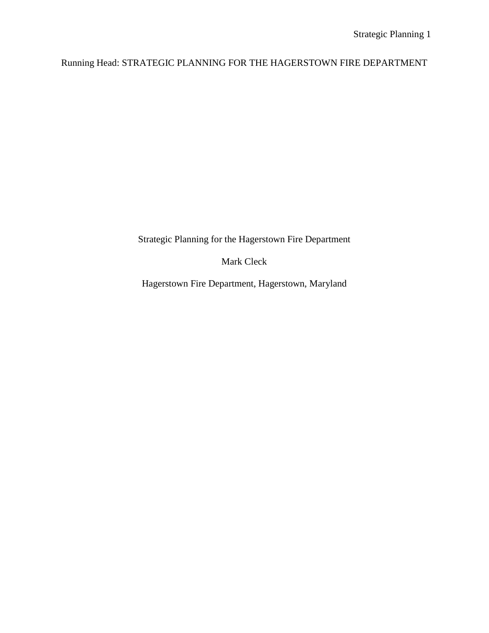# Running Head: STRATEGIC PLANNING FOR THE HAGERSTOWN FIRE DEPARTMENT

Strategic Planning for the Hagerstown Fire Department

Mark Cleck

Hagerstown Fire Department, Hagerstown, Maryland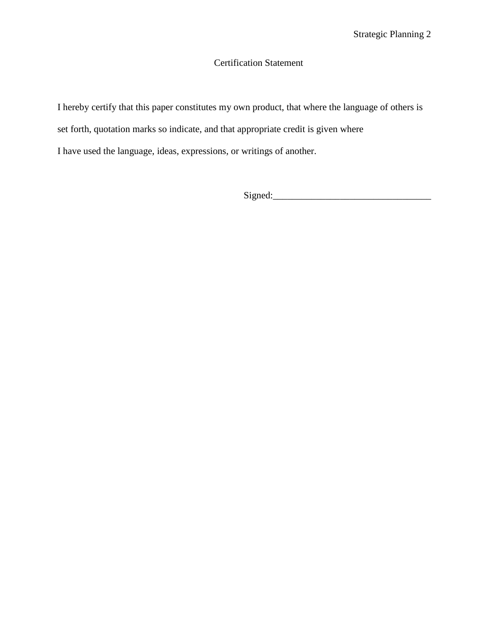## Certification Statement

I hereby certify that this paper constitutes my own product, that where the language of others is

set forth, quotation marks so indicate, and that appropriate credit is given where

I have used the language, ideas, expressions, or writings of another.

 $Signed:$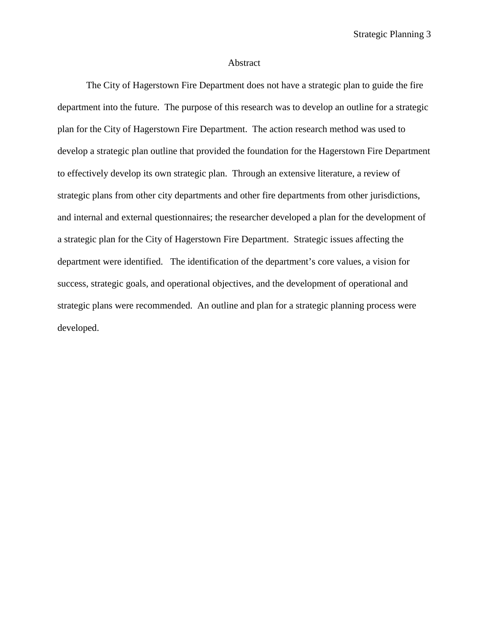#### Abstract

The City of Hagerstown Fire Department does not have a strategic plan to guide the fire department into the future. The purpose of this research was to develop an outline for a strategic plan for the City of Hagerstown Fire Department. The action research method was used to develop a strategic plan outline that provided the foundation for the Hagerstown Fire Department to effectively develop its own strategic plan. Through an extensive literature, a review of strategic plans from other city departments and other fire departments from other jurisdictions, and internal and external questionnaires; the researcher developed a plan for the development of a strategic plan for the City of Hagerstown Fire Department. Strategic issues affecting the department were identified. The identification of the department's core values, a vision for success, strategic goals, and operational objectives, and the development of operational and strategic plans were recommended. An outline and plan for a strategic planning process were developed.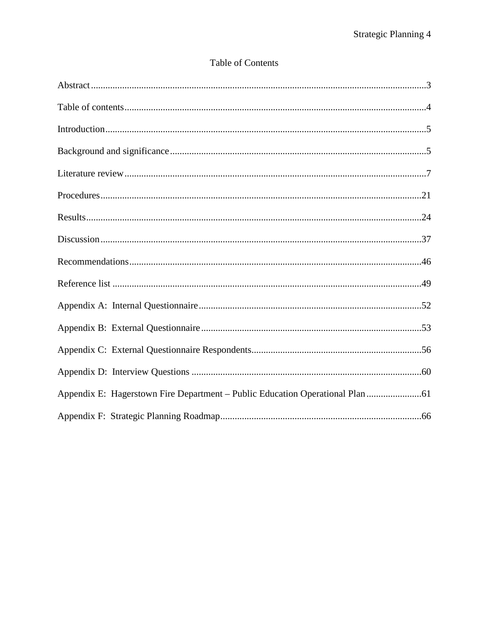|  | <b>Table of Contents</b> |
|--|--------------------------|
|  |                          |

| Appendix E: Hagerstown Fire Department - Public Education Operational Plan |  |
|----------------------------------------------------------------------------|--|
|                                                                            |  |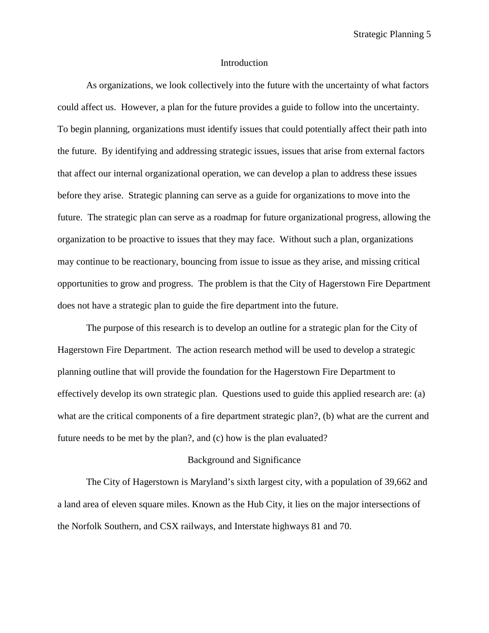Strategic Planning 5

#### Introduction

As organizations, we look collectively into the future with the uncertainty of what factors could affect us. However, a plan for the future provides a guide to follow into the uncertainty. To begin planning, organizations must identify issues that could potentially affect their path into the future. By identifying and addressing strategic issues, issues that arise from external factors that affect our internal organizational operation, we can develop a plan to address these issues before they arise. Strategic planning can serve as a guide for organizations to move into the future. The strategic plan can serve as a roadmap for future organizational progress, allowing the organization to be proactive to issues that they may face. Without such a plan, organizations may continue to be reactionary, bouncing from issue to issue as they arise, and missing critical opportunities to grow and progress. The problem is that the City of Hagerstown Fire Department does not have a strategic plan to guide the fire department into the future.

The purpose of this research is to develop an outline for a strategic plan for the City of Hagerstown Fire Department. The action research method will be used to develop a strategic planning outline that will provide the foundation for the Hagerstown Fire Department to effectively develop its own strategic plan. Questions used to guide this applied research are: (a) what are the critical components of a fire department strategic plan?, (b) what are the current and future needs to be met by the plan?, and (c) how is the plan evaluated?

#### Background and Significance

The City of Hagerstown is Maryland's sixth largest city, with a population of 39,662 and a land area of eleven square miles. Known as the Hub City, it lies on the major intersections of the Norfolk Southern, and CSX railways, and Interstate highways 81 and 70.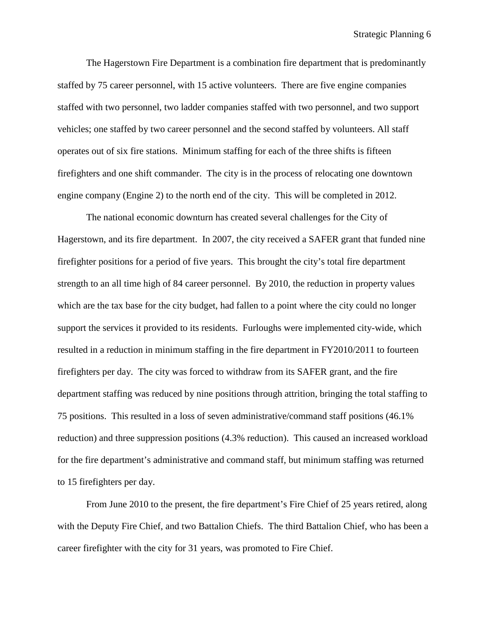The Hagerstown Fire Department is a combination fire department that is predominantly staffed by 75 career personnel, with 15 active volunteers. There are five engine companies staffed with two personnel, two ladder companies staffed with two personnel, and two support vehicles; one staffed by two career personnel and the second staffed by volunteers. All staff operates out of six fire stations. Minimum staffing for each of the three shifts is fifteen firefighters and one shift commander. The city is in the process of relocating one downtown engine company (Engine 2) to the north end of the city. This will be completed in 2012.

The national economic downturn has created several challenges for the City of Hagerstown, and its fire department. In 2007, the city received a SAFER grant that funded nine firefighter positions for a period of five years. This brought the city's total fire department strength to an all time high of 84 career personnel. By 2010, the reduction in property values which are the tax base for the city budget, had fallen to a point where the city could no longer support the services it provided to its residents. Furloughs were implemented city-wide, which resulted in a reduction in minimum staffing in the fire department in FY2010/2011 to fourteen firefighters per day. The city was forced to withdraw from its SAFER grant, and the fire department staffing was reduced by nine positions through attrition, bringing the total staffing to 75 positions. This resulted in a loss of seven administrative/command staff positions (46.1% reduction) and three suppression positions (4.3% reduction). This caused an increased workload for the fire department's administrative and command staff, but minimum staffing was returned to 15 firefighters per day.

From June 2010 to the present, the fire department's Fire Chief of 25 years retired, along with the Deputy Fire Chief, and two Battalion Chiefs. The third Battalion Chief, who has been a career firefighter with the city for 31 years, was promoted to Fire Chief.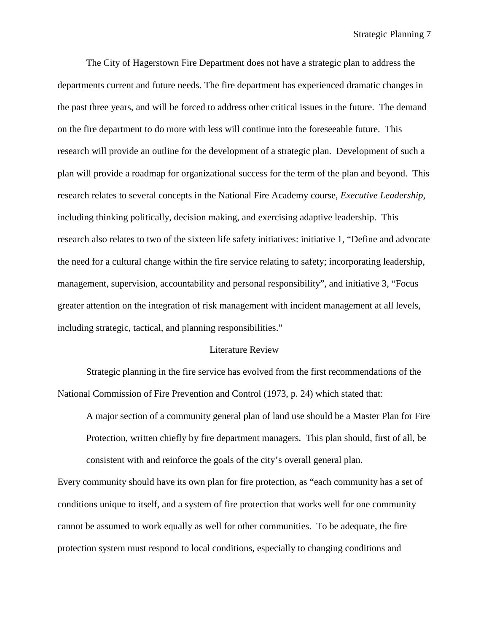The City of Hagerstown Fire Department does not have a strategic plan to address the departments current and future needs. The fire department has experienced dramatic changes in the past three years, and will be forced to address other critical issues in the future. The demand on the fire department to do more with less will continue into the foreseeable future. This research will provide an outline for the development of a strategic plan. Development of such a plan will provide a roadmap for organizational success for the term of the plan and beyond. This research relates to several concepts in the National Fire Academy course, *Executive Leadership,* including thinking politically, decision making, and exercising adaptive leadership. This research also relates to two of the sixteen life safety initiatives: initiative 1, "Define and advocate the need for a cultural change within the fire service relating to safety; incorporating leadership, management, supervision, accountability and personal responsibility", and initiative 3, "Focus greater attention on the integration of risk management with incident management at all levels, including strategic, tactical, and planning responsibilities."

#### Literature Review

Strategic planning in the fire service has evolved from the first recommendations of the National Commission of Fire Prevention and Control (1973, p. 24) which stated that:

A major section of a community general plan of land use should be a Master Plan for Fire Protection, written chiefly by fire department managers. This plan should, first of all, be consistent with and reinforce the goals of the city's overall general plan.

Every community should have its own plan for fire protection, as "each community has a set of conditions unique to itself, and a system of fire protection that works well for one community cannot be assumed to work equally as well for other communities. To be adequate, the fire protection system must respond to local conditions, especially to changing conditions and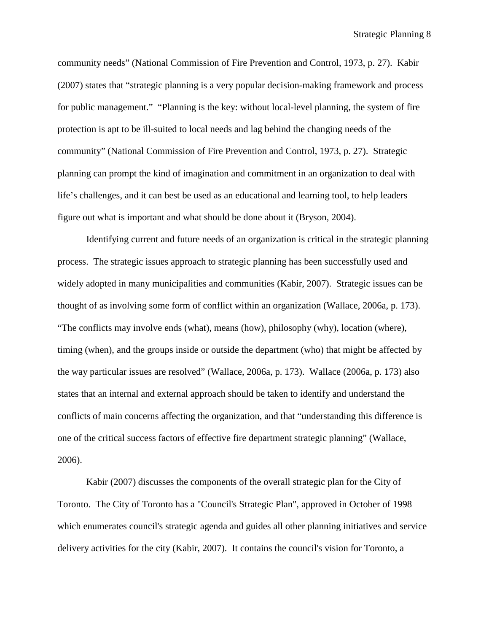community needs" (National Commission of Fire Prevention and Control, 1973, p. 27). Kabir (2007) states that "strategic planning is a very popular decision-making framework and process for public management." "Planning is the key: without local-level planning, the system of fire protection is apt to be ill-suited to local needs and lag behind the changing needs of the community" (National Commission of Fire Prevention and Control, 1973, p. 27). Strategic planning can prompt the kind of imagination and commitment in an organization to deal with life's challenges, and it can best be used as an educational and learning tool, to help leaders figure out what is important and what should be done about it (Bryson, 2004).

Identifying current and future needs of an organization is critical in the strategic planning process. The strategic issues approach to strategic planning has been successfully used and widely adopted in many municipalities and communities (Kabir, 2007). Strategic issues can be thought of as involving some form of conflict within an organization (Wallace, 2006a, p. 173). "The conflicts may involve ends (what), means (how), philosophy (why), location (where), timing (when), and the groups inside or outside the department (who) that might be affected by the way particular issues are resolved" (Wallace, 2006a, p. 173). Wallace (2006a, p. 173) also states that an internal and external approach should be taken to identify and understand the conflicts of main concerns affecting the organization, and that "understanding this difference is one of the critical success factors of effective fire department strategic planning" (Wallace, 2006).

Kabir (2007) discusses the components of the overall strategic plan for the City of Toronto. The City of Toronto has a "Council's Strategic Plan", approved in October of 1998 which enumerates council's strategic agenda and guides all other planning initiatives and service delivery activities for the city (Kabir, 2007). It contains the council's vision for Toronto, a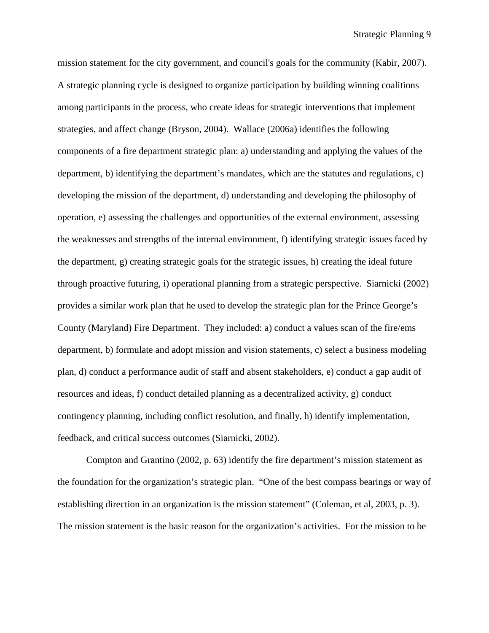mission statement for the city government, and council's goals for the community (Kabir, 2007). A strategic planning cycle is designed to organize participation by building winning coalitions among participants in the process, who create ideas for strategic interventions that implement strategies, and affect change (Bryson, 2004). Wallace (2006a) identifies the following components of a fire department strategic plan: a) understanding and applying the values of the department, b) identifying the department's mandates, which are the statutes and regulations, c) developing the mission of the department, d) understanding and developing the philosophy of operation, e) assessing the challenges and opportunities of the external environment, assessing the weaknesses and strengths of the internal environment, f) identifying strategic issues faced by the department, g) creating strategic goals for the strategic issues, h) creating the ideal future through proactive futuring, i) operational planning from a strategic perspective. Siarnicki (2002) provides a similar work plan that he used to develop the strategic plan for the Prince George's County (Maryland) Fire Department. They included: a) conduct a values scan of the fire/ems department, b) formulate and adopt mission and vision statements, c) select a business modeling plan, d) conduct a performance audit of staff and absent stakeholders, e) conduct a gap audit of resources and ideas, f) conduct detailed planning as a decentralized activity, g) conduct contingency planning, including conflict resolution, and finally, h) identify implementation, feedback, and critical success outcomes (Siarnicki, 2002).

Compton and Grantino (2002, p. 63) identify the fire department's mission statement as the foundation for the organization's strategic plan. "One of the best compass bearings or way of establishing direction in an organization is the mission statement" (Coleman, et al, 2003, p. 3). The mission statement is the basic reason for the organization's activities. For the mission to be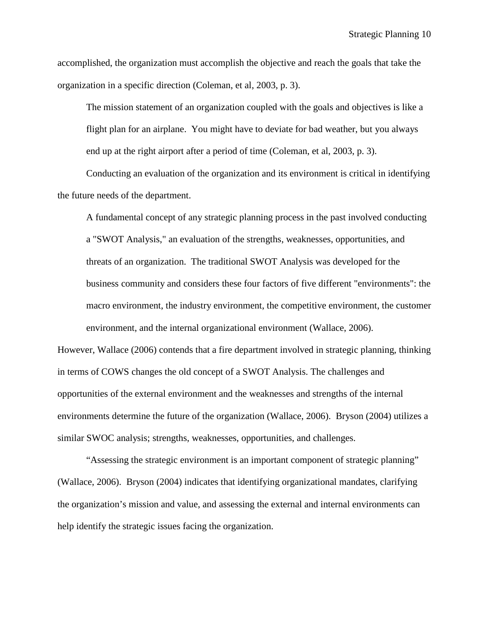accomplished, the organization must accomplish the objective and reach the goals that take the organization in a specific direction (Coleman, et al, 2003, p. 3).

The mission statement of an organization coupled with the goals and objectives is like a flight plan for an airplane. You might have to deviate for bad weather, but you always end up at the right airport after a period of time (Coleman, et al, 2003, p. 3).

Conducting an evaluation of the organization and its environment is critical in identifying the future needs of the department.

A fundamental concept of any strategic planning process in the past involved conducting a "SWOT Analysis," an evaluation of the strengths, weaknesses, opportunities, and threats of an organization. The traditional SWOT Analysis was developed for the business community and considers these four factors of five different "environments": the macro environment, the industry environment, the competitive environment, the customer environment, and the internal organizational environment (Wallace, 2006).

However, Wallace (2006) contends that a fire department involved in strategic planning, thinking in terms of COWS changes the old concept of a SWOT Analysis. The challenges and opportunities of the external environment and the weaknesses and strengths of the internal environments determine the future of the organization (Wallace, 2006). Bryson (2004) utilizes a similar SWOC analysis; strengths, weaknesses, opportunities, and challenges.

"Assessing the strategic environment is an important component of strategic planning" (Wallace, 2006). Bryson (2004) indicates that identifying organizational mandates, clarifying the organization's mission and value, and assessing the external and internal environments can help identify the strategic issues facing the organization.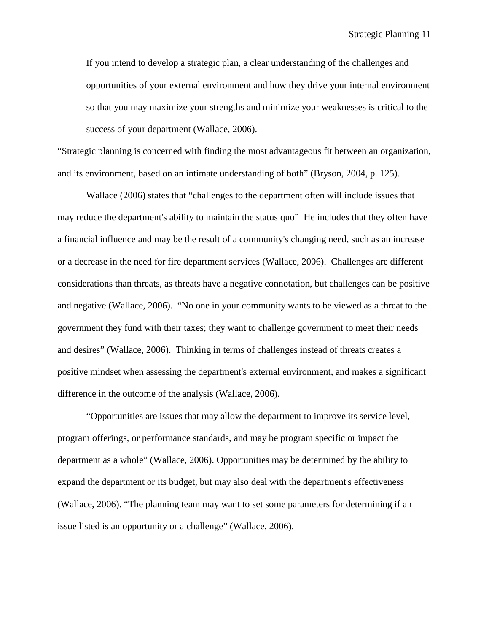If you intend to develop a strategic plan, a clear understanding of the challenges and opportunities of your external environment and how they drive your internal environment so that you may maximize your strengths and minimize your weaknesses is critical to the success of your department (Wallace, 2006).

"Strategic planning is concerned with finding the most advantageous fit between an organization, and its environment, based on an intimate understanding of both" (Bryson, 2004, p. 125).

Wallace (2006) states that "challenges to the department often will include issues that may reduce the department's ability to maintain the status quo" He includes that they often have a financial influence and may be the result of a community's changing need, such as an increase or a decrease in the need for fire department services (Wallace, 2006). Challenges are different considerations than threats, as threats have a negative connotation, but challenges can be positive and negative (Wallace, 2006). "No one in your community wants to be viewed as a threat to the government they fund with their taxes; they want to challenge government to meet their needs and desires" (Wallace, 2006). Thinking in terms of challenges instead of threats creates a positive mindset when assessing the department's external environment, and makes a significant difference in the outcome of the analysis (Wallace, 2006).

"Opportunities are issues that may allow the department to improve its service level, program offerings, or performance standards, and may be program specific or impact the department as a whole" (Wallace, 2006). Opportunities may be determined by the ability to expand the department or its budget, but may also deal with the department's effectiveness (Wallace, 2006). "The planning team may want to set some parameters for determining if an issue listed is an opportunity or a challenge" (Wallace, 2006).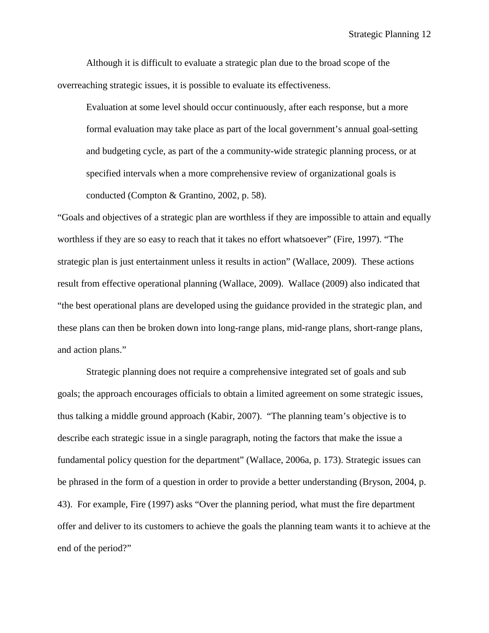Although it is difficult to evaluate a strategic plan due to the broad scope of the overreaching strategic issues, it is possible to evaluate its effectiveness.

Evaluation at some level should occur continuously, after each response, but a more formal evaluation may take place as part of the local government's annual goal-setting and budgeting cycle, as part of the a community-wide strategic planning process, or at specified intervals when a more comprehensive review of organizational goals is conducted (Compton & Grantino, 2002, p. 58).

"Goals and objectives of a strategic plan are worthless if they are impossible to attain and equally worthless if they are so easy to reach that it takes no effort whatsoever" (Fire, 1997). "The strategic plan is just entertainment unless it results in action" (Wallace, 2009). These actions result from effective operational planning (Wallace, 2009). Wallace (2009) also indicated that "the best operational plans are developed using the guidance provided in the strategic plan, and these plans can then be broken down into long-range plans, mid-range plans, short-range plans, and action plans."

Strategic planning does not require a comprehensive integrated set of goals and sub goals; the approach encourages officials to obtain a limited agreement on some strategic issues, thus talking a middle ground approach (Kabir, 2007). "The planning team's objective is to describe each strategic issue in a single paragraph, noting the factors that make the issue a fundamental policy question for the department" (Wallace, 2006a, p. 173). Strategic issues can be phrased in the form of a question in order to provide a better understanding (Bryson, 2004, p. 43). For example, Fire (1997) asks "Over the planning period, what must the fire department offer and deliver to its customers to achieve the goals the planning team wants it to achieve at the end of the period?"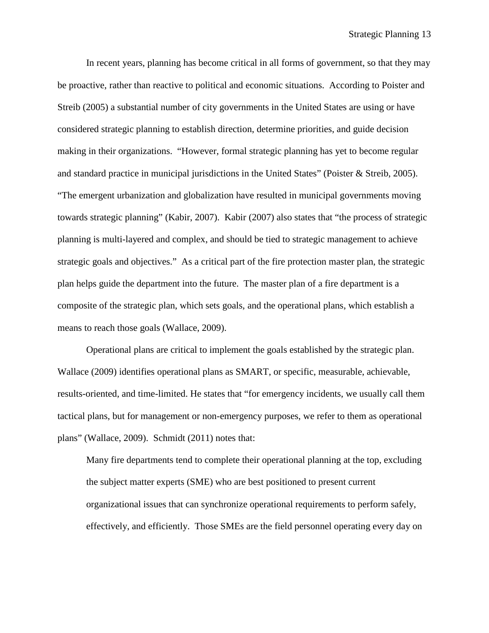In recent years, planning has become critical in all forms of government, so that they may be proactive, rather than reactive to political and economic situations. According to Poister and Streib (2005) a substantial number of city governments in the United States are using or have considered strategic planning to establish direction, determine priorities, and guide decision making in their organizations. "However, formal strategic planning has yet to become regular and standard practice in municipal jurisdictions in the United States" (Poister & Streib, 2005). "The emergent urbanization and globalization have resulted in municipal governments moving towards strategic planning" (Kabir, 2007). Kabir (2007) also states that "the process of strategic planning is multi-layered and complex, and should be tied to strategic management to achieve strategic goals and objectives." As a critical part of the fire protection master plan, the strategic plan helps guide the department into the future. The master plan of a fire department is a composite of the strategic plan, which sets goals, and the operational plans, which establish a means to reach those goals (Wallace, 2009).

Operational plans are critical to implement the goals established by the strategic plan. Wallace (2009) identifies operational plans as SMART, or specific, measurable, achievable, results-oriented, and time-limited. He states that "for emergency incidents, we usually call them tactical plans, but for management or non-emergency purposes, we refer to them as operational plans" (Wallace, 2009). Schmidt (2011) notes that:

Many fire departments tend to complete their operational planning at the top, excluding the subject matter experts (SME) who are best positioned to present current organizational issues that can synchronize operational requirements to perform safely, effectively, and efficiently. Those SMEs are the field personnel operating every day on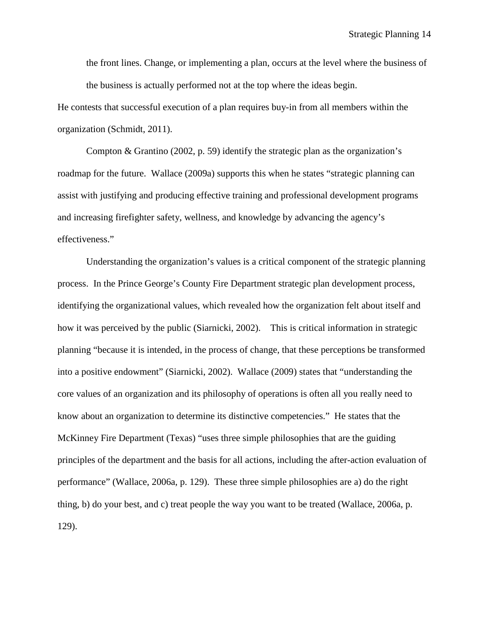the front lines. Change, or implementing a plan, occurs at the level where the business of the business is actually performed not at the top where the ideas begin.

He contests that successful execution of a plan requires buy-in from all members within the organization (Schmidt, 2011).

Compton & Grantino (2002, p. 59) identify the strategic plan as the organization's roadmap for the future. Wallace (2009a) supports this when he states "strategic planning can assist with justifying and producing effective training and professional development programs and increasing firefighter safety, wellness, and knowledge by advancing the agency's effectiveness."

Understanding the organization's values is a critical component of the strategic planning process. In the Prince George's County Fire Department strategic plan development process, identifying the organizational values, which revealed how the organization felt about itself and how it was perceived by the public (Siarnicki, 2002). This is critical information in strategic planning "because it is intended, in the process of change, that these perceptions be transformed into a positive endowment" (Siarnicki, 2002). Wallace (2009) states that "understanding the core values of an organization and its philosophy of operations is often all you really need to know about an organization to determine its distinctive competencies." He states that the McKinney Fire Department (Texas) "uses three simple philosophies that are the guiding principles of the department and the basis for all actions, including the after-action evaluation of performance" (Wallace, 2006a, p. 129). These three simple philosophies are a) do the right thing, b) do your best, and c) treat people the way you want to be treated (Wallace, 2006a, p. 129).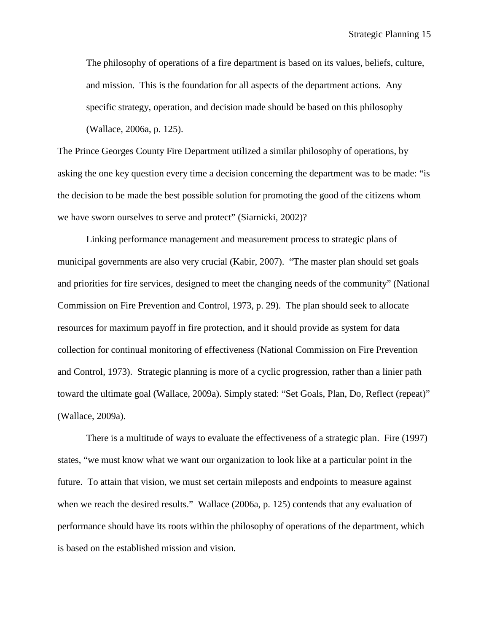The philosophy of operations of a fire department is based on its values, beliefs, culture, and mission. This is the foundation for all aspects of the department actions. Any specific strategy, operation, and decision made should be based on this philosophy (Wallace, 2006a, p. 125).

The Prince Georges County Fire Department utilized a similar philosophy of operations, by asking the one key question every time a decision concerning the department was to be made: "is the decision to be made the best possible solution for promoting the good of the citizens whom we have sworn ourselves to serve and protect" (Siarnicki, 2002)?

Linking performance management and measurement process to strategic plans of municipal governments are also very crucial (Kabir, 2007). "The master plan should set goals and priorities for fire services, designed to meet the changing needs of the community" (National Commission on Fire Prevention and Control, 1973, p. 29). The plan should seek to allocate resources for maximum payoff in fire protection, and it should provide as system for data collection for continual monitoring of effectiveness (National Commission on Fire Prevention and Control, 1973). Strategic planning is more of a cyclic progression, rather than a linier path toward the ultimate goal (Wallace, 2009a). Simply stated: "Set Goals, Plan, Do, Reflect (repeat)" (Wallace, 2009a).

There is a multitude of ways to evaluate the effectiveness of a strategic plan. Fire (1997) states, "we must know what we want our organization to look like at a particular point in the future. To attain that vision, we must set certain mileposts and endpoints to measure against when we reach the desired results." Wallace (2006a, p. 125) contends that any evaluation of performance should have its roots within the philosophy of operations of the department, which is based on the established mission and vision.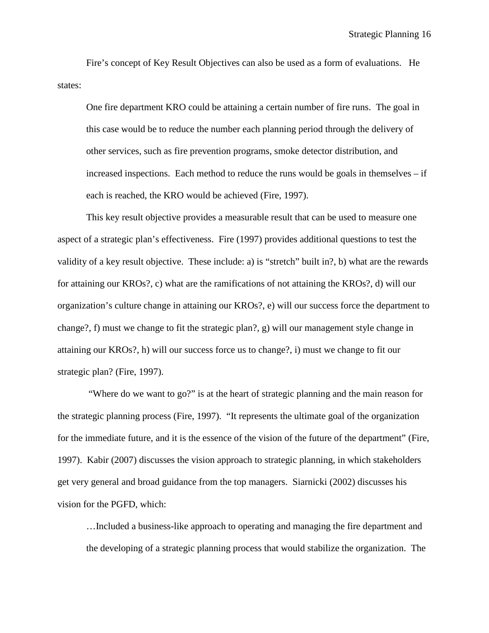Fire's concept of Key Result Objectives can also be used as a form of evaluations. He states:

One fire department KRO could be attaining a certain number of fire runs. The goal in this case would be to reduce the number each planning period through the delivery of other services, such as fire prevention programs, smoke detector distribution, and increased inspections. Each method to reduce the runs would be goals in themselves – if each is reached, the KRO would be achieved (Fire, 1997).

This key result objective provides a measurable result that can be used to measure one aspect of a strategic plan's effectiveness. Fire (1997) provides additional questions to test the validity of a key result objective. These include: a) is "stretch" built in?, b) what are the rewards for attaining our KROs?, c) what are the ramifications of not attaining the KROs?, d) will our organization's culture change in attaining our KROs?, e) will our success force the department to change?, f) must we change to fit the strategic plan?, g) will our management style change in attaining our KROs?, h) will our success force us to change?, i) must we change to fit our strategic plan? (Fire, 1997).

"Where do we want to go?" is at the heart of strategic planning and the main reason for the strategic planning process (Fire, 1997). "It represents the ultimate goal of the organization for the immediate future, and it is the essence of the vision of the future of the department" (Fire, 1997). Kabir (2007) discusses the vision approach to strategic planning, in which stakeholders get very general and broad guidance from the top managers. Siarnicki (2002) discusses his vision for the PGFD, which:

…Included a business-like approach to operating and managing the fire department and the developing of a strategic planning process that would stabilize the organization. The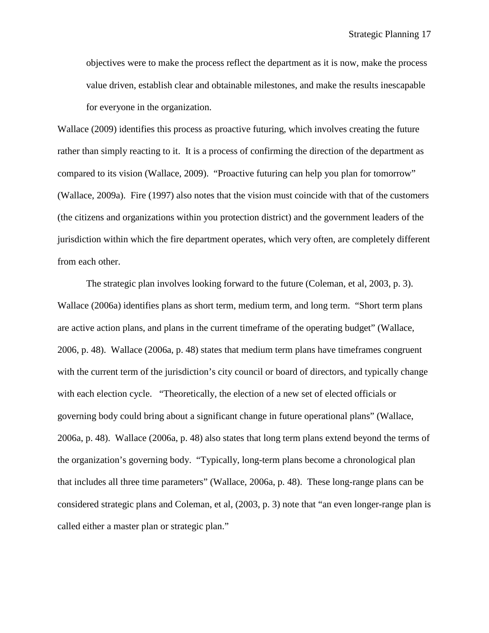objectives were to make the process reflect the department as it is now, make the process value driven, establish clear and obtainable milestones, and make the results inescapable for everyone in the organization.

Wallace (2009) identifies this process as proactive futuring, which involves creating the future rather than simply reacting to it. It is a process of confirming the direction of the department as compared to its vision (Wallace, 2009). "Proactive futuring can help you plan for tomorrow" (Wallace, 2009a). Fire (1997) also notes that the vision must coincide with that of the customers (the citizens and organizations within you protection district) and the government leaders of the jurisdiction within which the fire department operates, which very often, are completely different from each other.

The strategic plan involves looking forward to the future (Coleman, et al, 2003, p. 3). Wallace (2006a) identifies plans as short term, medium term, and long term. "Short term plans are active action plans, and plans in the current timeframe of the operating budget" (Wallace, 2006, p. 48). Wallace (2006a, p. 48) states that medium term plans have timeframes congruent with the current term of the jurisdiction's city council or board of directors, and typically change with each election cycle. "Theoretically, the election of a new set of elected officials or governing body could bring about a significant change in future operational plans" (Wallace, 2006a, p. 48). Wallace (2006a, p. 48) also states that long term plans extend beyond the terms of the organization's governing body. "Typically, long-term plans become a chronological plan that includes all three time parameters" (Wallace, 2006a, p. 48). These long-range plans can be considered strategic plans and Coleman, et al, (2003, p. 3) note that "an even longer-range plan is called either a master plan or strategic plan."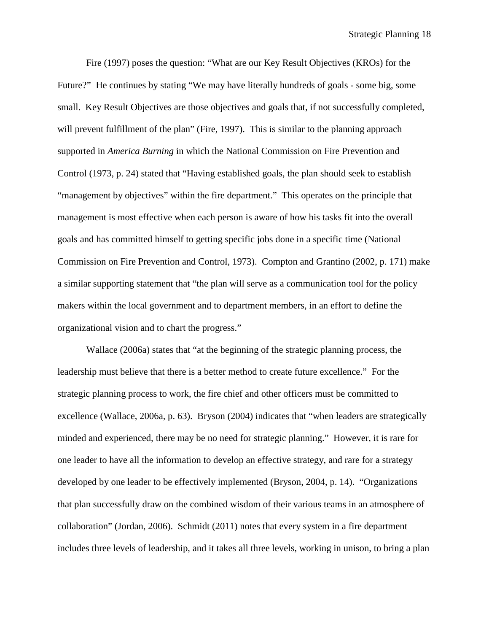Fire (1997) poses the question: "What are our Key Result Objectives (KROs) for the Future?" He continues by stating "We may have literally hundreds of goals - some big, some small. Key Result Objectives are those objectives and goals that, if not successfully completed, will prevent fulfillment of the plan" (Fire, 1997). This is similar to the planning approach supported in *America Burning* in which the National Commission on Fire Prevention and Control (1973, p. 24) stated that "Having established goals, the plan should seek to establish "management by objectives" within the fire department." This operates on the principle that management is most effective when each person is aware of how his tasks fit into the overall goals and has committed himself to getting specific jobs done in a specific time (National Commission on Fire Prevention and Control, 1973). Compton and Grantino (2002, p. 171) make a similar supporting statement that "the plan will serve as a communication tool for the policy makers within the local government and to department members, in an effort to define the organizational vision and to chart the progress."

Wallace (2006a) states that "at the beginning of the strategic planning process, the leadership must believe that there is a better method to create future excellence." For the strategic planning process to work, the fire chief and other officers must be committed to excellence (Wallace, 2006a, p. 63). Bryson (2004) indicates that "when leaders are strategically minded and experienced, there may be no need for strategic planning." However, it is rare for one leader to have all the information to develop an effective strategy, and rare for a strategy developed by one leader to be effectively implemented (Bryson, 2004, p. 14). "Organizations that plan successfully draw on the combined wisdom of their various teams in an atmosphere of collaboration" (Jordan, 2006). Schmidt (2011) notes that every system in a fire department includes three levels of leadership, and it takes all three levels, working in unison, to bring a plan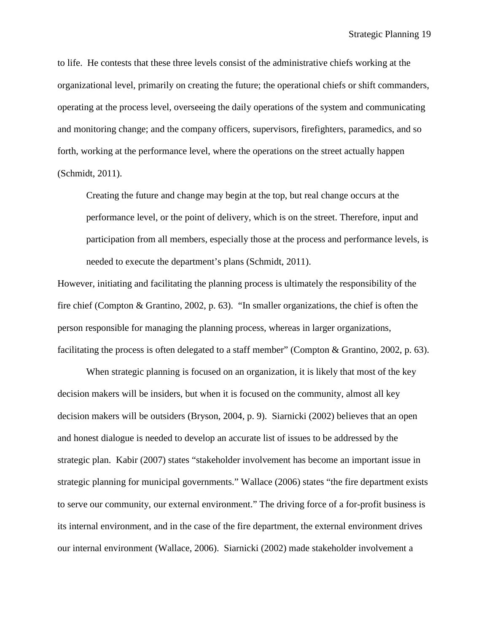to life. He contests that these three levels consist of the administrative chiefs working at the organizational level, primarily on creating the future; the operational chiefs or shift commanders, operating at the process level*,* overseeing the daily operations of the system and communicating and monitoring change; and the company officers, supervisors, firefighters, paramedics, and so forth, working at the performance level, where the operations on the street actually happen (Schmidt, 2011).

Creating the future and change may begin at the top, but real change occurs at the performance level, or the point of delivery, which is on the street. Therefore, input and participation from all members, especially those at the process and performance levels, is needed to execute the department's plans (Schmidt, 2011).

However, initiating and facilitating the planning process is ultimately the responsibility of the fire chief (Compton & Grantino, 2002, p. 63). "In smaller organizations, the chief is often the person responsible for managing the planning process, whereas in larger organizations, facilitating the process is often delegated to a staff member" (Compton & Grantino, 2002, p. 63).

When strategic planning is focused on an organization, it is likely that most of the key decision makers will be insiders, but when it is focused on the community, almost all key decision makers will be outsiders (Bryson, 2004, p. 9). Siarnicki (2002) believes that an open and honest dialogue is needed to develop an accurate list of issues to be addressed by the strategic plan. Kabir (2007) states "stakeholder involvement has become an important issue in strategic planning for municipal governments." Wallace (2006) states "the fire department exists to serve our community, our external environment." The driving force of a for-profit business is its internal environment, and in the case of the fire department, the external environment drives our internal environment (Wallace, 2006). Siarnicki (2002) made stakeholder involvement a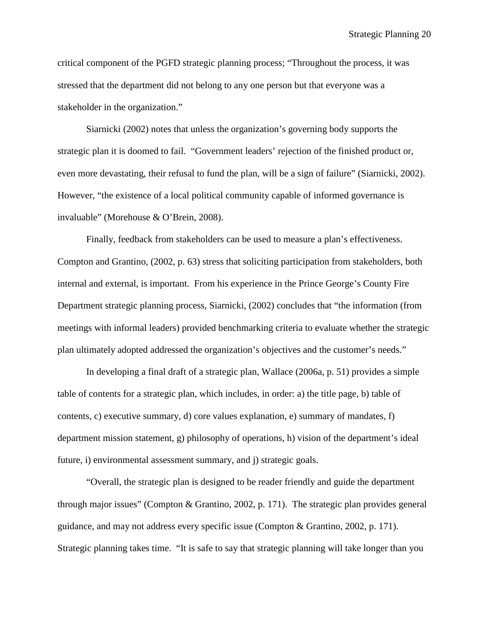critical component of the PGFD strategic planning process; "Throughout the process, it was stressed that the department did not belong to any one person but that everyone was a stakeholder in the organization."

Siarnicki (2002) notes that unless the organization's governing body supports the strategic plan it is doomed to fail. "Government leaders' rejection of the finished product or, even more devastating, their refusal to fund the plan, will be a sign of failure" (Siarnicki, 2002). However, "the existence of a local political community capable of informed governance is invaluable" (Morehouse & O'Brein, 2008).

Finally, feedback from stakeholders can be used to measure a plan's effectiveness. Compton and Grantino, (2002, p. 63) stress that soliciting participation from stakeholders, both internal and external, is important. From his experience in the Prince George's County Fire Department strategic planning process, Siarnicki, (2002) concludes that "the information (from meetings with informal leaders) provided benchmarking criteria to evaluate whether the strategic plan ultimately adopted addressed the organization's objectives and the customer's needs."

In developing a final draft of a strategic plan, Wallace (2006a, p. 51) provides a simple table of contents for a strategic plan, which includes, in order: a) the title page, b) table of contents, c) executive summary, d) core values explanation, e) summary of mandates, f) department mission statement, g) philosophy of operations, h) vision of the department's ideal future, i) environmental assessment summary, and j) strategic goals.

"Overall, the strategic plan is designed to be reader friendly and guide the department through major issues" (Compton & Grantino, 2002, p. 171). The strategic plan provides general guidance, and may not address every specific issue (Compton & Grantino, 2002, p. 171). Strategic planning takes time. "It is safe to say that strategic planning will take longer than you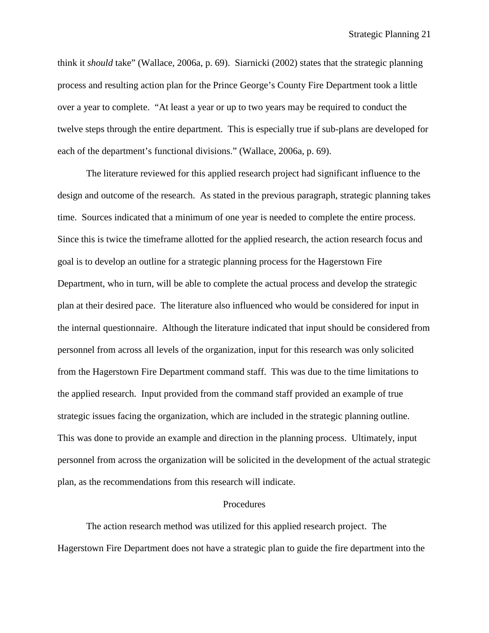think it *should* take" (Wallace, 2006a, p. 69). Siarnicki (2002) states that the strategic planning process and resulting action plan for the Prince George's County Fire Department took a little over a year to complete. "At least a year or up to two years may be required to conduct the twelve steps through the entire department. This is especially true if sub-plans are developed for each of the department's functional divisions." (Wallace, 2006a, p. 69).

The literature reviewed for this applied research project had significant influence to the design and outcome of the research. As stated in the previous paragraph, strategic planning takes time. Sources indicated that a minimum of one year is needed to complete the entire process. Since this is twice the timeframe allotted for the applied research, the action research focus and goal is to develop an outline for a strategic planning process for the Hagerstown Fire Department, who in turn, will be able to complete the actual process and develop the strategic plan at their desired pace. The literature also influenced who would be considered for input in the internal questionnaire. Although the literature indicated that input should be considered from personnel from across all levels of the organization, input for this research was only solicited from the Hagerstown Fire Department command staff. This was due to the time limitations to the applied research. Input provided from the command staff provided an example of true strategic issues facing the organization, which are included in the strategic planning outline. This was done to provide an example and direction in the planning process. Ultimately, input personnel from across the organization will be solicited in the development of the actual strategic plan, as the recommendations from this research will indicate.

#### Procedures

The action research method was utilized for this applied research project. The Hagerstown Fire Department does not have a strategic plan to guide the fire department into the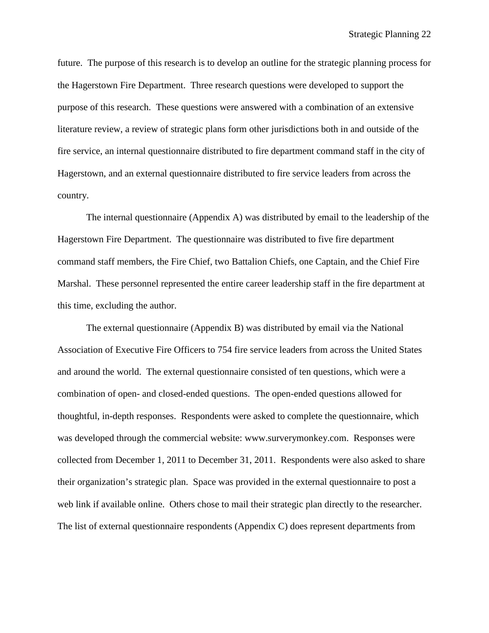future. The purpose of this research is to develop an outline for the strategic planning process for the Hagerstown Fire Department. Three research questions were developed to support the purpose of this research. These questions were answered with a combination of an extensive literature review, a review of strategic plans form other jurisdictions both in and outside of the fire service, an internal questionnaire distributed to fire department command staff in the city of Hagerstown, and an external questionnaire distributed to fire service leaders from across the country.

The internal questionnaire (Appendix A) was distributed by email to the leadership of the Hagerstown Fire Department. The questionnaire was distributed to five fire department command staff members, the Fire Chief, two Battalion Chiefs, one Captain, and the Chief Fire Marshal. These personnel represented the entire career leadership staff in the fire department at this time, excluding the author.

The external questionnaire (Appendix B) was distributed by email via the National Association of Executive Fire Officers to 754 fire service leaders from across the United States and around the world. The external questionnaire consisted of ten questions, which were a combination of open- and closed-ended questions. The open-ended questions allowed for thoughtful, in-depth responses. Respondents were asked to complete the questionnaire, which was developed through the commercial website: www.surverymonkey.com. Responses were collected from December 1, 2011 to December 31, 2011. Respondents were also asked to share their organization's strategic plan. Space was provided in the external questionnaire to post a web link if available online. Others chose to mail their strategic plan directly to the researcher. The list of external questionnaire respondents (Appendix C) does represent departments from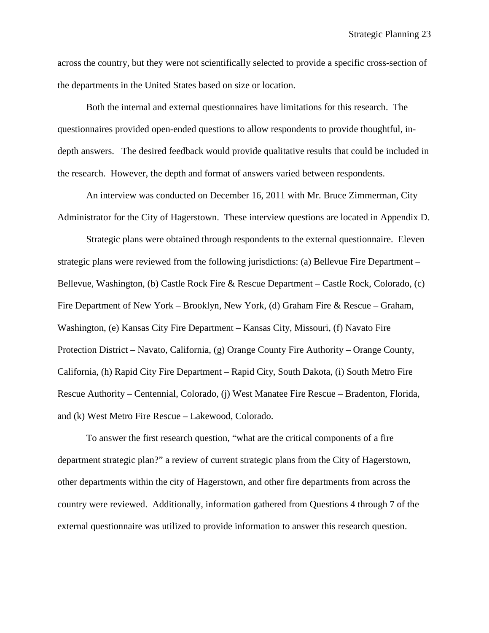across the country, but they were not scientifically selected to provide a specific cross-section of the departments in the United States based on size or location.

Both the internal and external questionnaires have limitations for this research. The questionnaires provided open-ended questions to allow respondents to provide thoughtful, indepth answers. The desired feedback would provide qualitative results that could be included in the research. However, the depth and format of answers varied between respondents.

An interview was conducted on December 16, 2011 with Mr. Bruce Zimmerman, City Administrator for the City of Hagerstown. These interview questions are located in Appendix D.

Strategic plans were obtained through respondents to the external questionnaire. Eleven strategic plans were reviewed from the following jurisdictions: (a) Bellevue Fire Department – Bellevue, Washington, (b) Castle Rock Fire & Rescue Department – Castle Rock, Colorado, (c) Fire Department of New York – Brooklyn, New York, (d) Graham Fire & Rescue – Graham, Washington, (e) Kansas City Fire Department – Kansas City, Missouri, (f) Navato Fire Protection District – Navato, California, (g) Orange County Fire Authority – Orange County, California, (h) Rapid City Fire Department – Rapid City, South Dakota, (i) South Metro Fire Rescue Authority – Centennial, Colorado, (j) West Manatee Fire Rescue – Bradenton, Florida, and (k) West Metro Fire Rescue – Lakewood, Colorado.

To answer the first research question, "what are the critical components of a fire department strategic plan?" a review of current strategic plans from the City of Hagerstown, other departments within the city of Hagerstown, and other fire departments from across the country were reviewed. Additionally, information gathered from Questions 4 through 7 of the external questionnaire was utilized to provide information to answer this research question.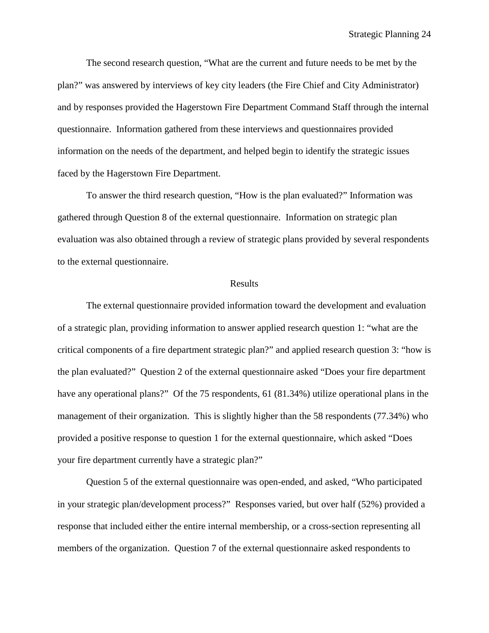The second research question, "What are the current and future needs to be met by the plan?" was answered by interviews of key city leaders (the Fire Chief and City Administrator) and by responses provided the Hagerstown Fire Department Command Staff through the internal questionnaire. Information gathered from these interviews and questionnaires provided information on the needs of the department, and helped begin to identify the strategic issues faced by the Hagerstown Fire Department.

To answer the third research question, "How is the plan evaluated?" Information was gathered through Question 8 of the external questionnaire. Information on strategic plan evaluation was also obtained through a review of strategic plans provided by several respondents to the external questionnaire.

#### Results

The external questionnaire provided information toward the development and evaluation of a strategic plan, providing information to answer applied research question 1: "what are the critical components of a fire department strategic plan?" and applied research question 3: "how is the plan evaluated?" Question 2 of the external questionnaire asked "Does your fire department have any operational plans?" Of the 75 respondents, 61 (81.34%) utilize operational plans in the management of their organization. This is slightly higher than the 58 respondents (77.34%) who provided a positive response to question 1 for the external questionnaire, which asked "Does your fire department currently have a strategic plan?"

Question 5 of the external questionnaire was open-ended, and asked, "Who participated in your strategic plan/development process?" Responses varied, but over half (52%) provided a response that included either the entire internal membership, or a cross-section representing all members of the organization. Question 7 of the external questionnaire asked respondents to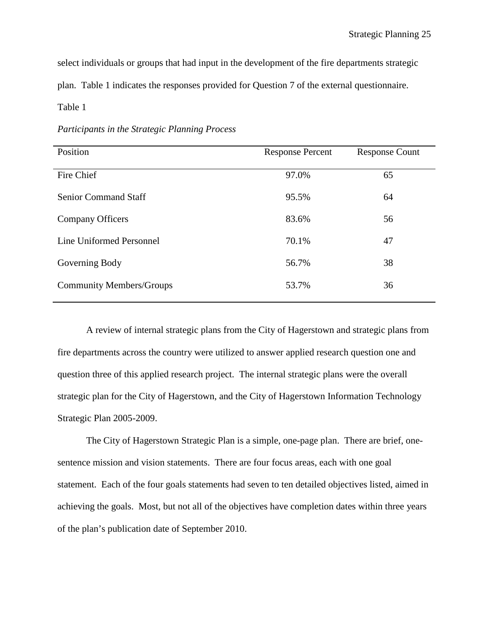select individuals or groups that had input in the development of the fire departments strategic

plan. Table 1 indicates the responses provided for Question 7 of the external questionnaire.

Table 1

*Participants in the Strategic Planning Process*

| Position                        | <b>Response Percent</b> | <b>Response Count</b> |
|---------------------------------|-------------------------|-----------------------|
| Fire Chief                      | 97.0%                   | 65                    |
| <b>Senior Command Staff</b>     | 95.5%                   | 64                    |
| Company Officers                | 83.6%                   | 56                    |
| Line Uniformed Personnel        | 70.1%                   | 47                    |
| Governing Body                  | 56.7%                   | 38                    |
| <b>Community Members/Groups</b> | 53.7%                   | 36                    |

A review of internal strategic plans from the City of Hagerstown and strategic plans from fire departments across the country were utilized to answer applied research question one and question three of this applied research project. The internal strategic plans were the overall strategic plan for the City of Hagerstown, and the City of Hagerstown Information Technology Strategic Plan 2005-2009.

The City of Hagerstown Strategic Plan is a simple, one-page plan. There are brief, onesentence mission and vision statements. There are four focus areas, each with one goal statement. Each of the four goals statements had seven to ten detailed objectives listed, aimed in achieving the goals. Most, but not all of the objectives have completion dates within three years of the plan's publication date of September 2010.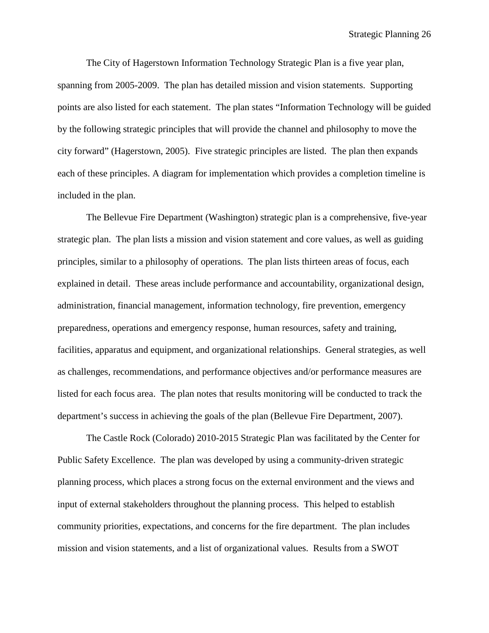The City of Hagerstown Information Technology Strategic Plan is a five year plan, spanning from 2005-2009. The plan has detailed mission and vision statements. Supporting points are also listed for each statement. The plan states "Information Technology will be guided by the following strategic principles that will provide the channel and philosophy to move the city forward" (Hagerstown, 2005). Five strategic principles are listed. The plan then expands each of these principles. A diagram for implementation which provides a completion timeline is included in the plan.

The Bellevue Fire Department (Washington) strategic plan is a comprehensive, five-year strategic plan. The plan lists a mission and vision statement and core values, as well as guiding principles, similar to a philosophy of operations. The plan lists thirteen areas of focus, each explained in detail. These areas include performance and accountability, organizational design, administration, financial management, information technology, fire prevention, emergency preparedness, operations and emergency response, human resources, safety and training, facilities, apparatus and equipment, and organizational relationships. General strategies, as well as challenges, recommendations, and performance objectives and/or performance measures are listed for each focus area. The plan notes that results monitoring will be conducted to track the department's success in achieving the goals of the plan (Bellevue Fire Department, 2007).

The Castle Rock (Colorado) 2010-2015 Strategic Plan was facilitated by the Center for Public Safety Excellence. The plan was developed by using a community-driven strategic planning process, which places a strong focus on the external environment and the views and input of external stakeholders throughout the planning process. This helped to establish community priorities, expectations, and concerns for the fire department. The plan includes mission and vision statements, and a list of organizational values. Results from a SWOT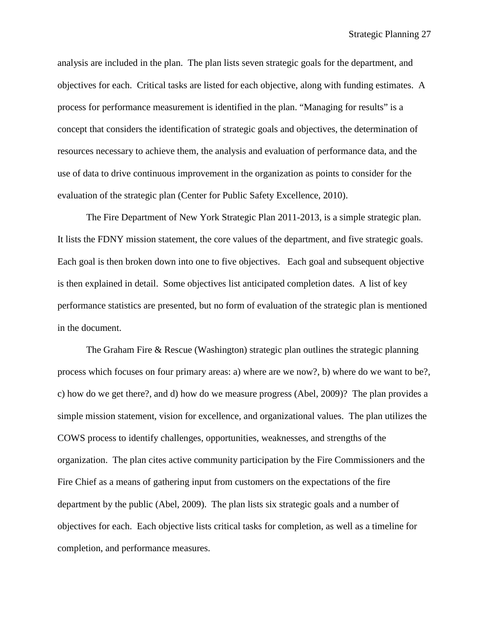analysis are included in the plan. The plan lists seven strategic goals for the department, and objectives for each. Critical tasks are listed for each objective, along with funding estimates. A process for performance measurement is identified in the plan. "Managing for results" is a concept that considers the identification of strategic goals and objectives, the determination of resources necessary to achieve them, the analysis and evaluation of performance data, and the use of data to drive continuous improvement in the organization as points to consider for the evaluation of the strategic plan (Center for Public Safety Excellence, 2010).

The Fire Department of New York Strategic Plan 2011-2013, is a simple strategic plan. It lists the FDNY mission statement, the core values of the department, and five strategic goals. Each goal is then broken down into one to five objectives. Each goal and subsequent objective is then explained in detail. Some objectives list anticipated completion dates. A list of key performance statistics are presented, but no form of evaluation of the strategic plan is mentioned in the document.

The Graham Fire & Rescue (Washington) strategic plan outlines the strategic planning process which focuses on four primary areas: a) where are we now?, b) where do we want to be?, c) how do we get there?, and d) how do we measure progress (Abel, 2009)? The plan provides a simple mission statement, vision for excellence, and organizational values. The plan utilizes the COWS process to identify challenges, opportunities, weaknesses, and strengths of the organization. The plan cites active community participation by the Fire Commissioners and the Fire Chief as a means of gathering input from customers on the expectations of the fire department by the public (Abel, 2009). The plan lists six strategic goals and a number of objectives for each. Each objective lists critical tasks for completion, as well as a timeline for completion, and performance measures.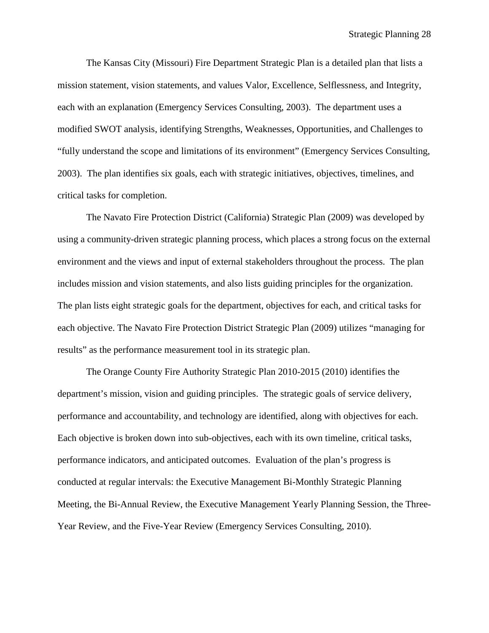The Kansas City (Missouri) Fire Department Strategic Plan is a detailed plan that lists a mission statement, vision statements, and values Valor, Excellence, Selflessness, and Integrity, each with an explanation (Emergency Services Consulting, 2003). The department uses a modified SWOT analysis, identifying Strengths, Weaknesses, Opportunities, and Challenges to "fully understand the scope and limitations of its environment" (Emergency Services Consulting, 2003). The plan identifies six goals, each with strategic initiatives, objectives, timelines, and critical tasks for completion.

The Navato Fire Protection District (California) Strategic Plan (2009) was developed by using a community-driven strategic planning process, which places a strong focus on the external environment and the views and input of external stakeholders throughout the process. The plan includes mission and vision statements, and also lists guiding principles for the organization. The plan lists eight strategic goals for the department, objectives for each, and critical tasks for each objective. The Navato Fire Protection District Strategic Plan (2009) utilizes "managing for results" as the performance measurement tool in its strategic plan.

The Orange County Fire Authority Strategic Plan 2010-2015 (2010) identifies the department's mission, vision and guiding principles. The strategic goals of service delivery, performance and accountability, and technology are identified, along with objectives for each. Each objective is broken down into sub-objectives, each with its own timeline, critical tasks, performance indicators, and anticipated outcomes. Evaluation of the plan's progress is conducted at regular intervals: the Executive Management Bi-Monthly Strategic Planning Meeting, the Bi-Annual Review, the Executive Management Yearly Planning Session, the Three-Year Review, and the Five-Year Review (Emergency Services Consulting, 2010).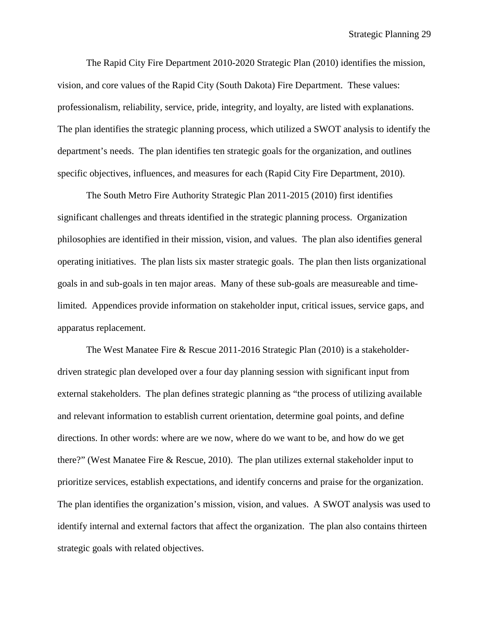The Rapid City Fire Department 2010-2020 Strategic Plan (2010) identifies the mission, vision, and core values of the Rapid City (South Dakota) Fire Department. These values: professionalism, reliability, service, pride, integrity, and loyalty, are listed with explanations. The plan identifies the strategic planning process, which utilized a SWOT analysis to identify the department's needs. The plan identifies ten strategic goals for the organization, and outlines specific objectives, influences, and measures for each (Rapid City Fire Department, 2010).

The South Metro Fire Authority Strategic Plan 2011-2015 (2010) first identifies significant challenges and threats identified in the strategic planning process. Organization philosophies are identified in their mission, vision, and values. The plan also identifies general operating initiatives. The plan lists six master strategic goals. The plan then lists organizational goals in and sub-goals in ten major areas. Many of these sub-goals are measureable and timelimited. Appendices provide information on stakeholder input, critical issues, service gaps, and apparatus replacement.

The West Manatee Fire & Rescue 2011-2016 Strategic Plan (2010) is a stakeholderdriven strategic plan developed over a four day planning session with significant input from external stakeholders. The plan defines strategic planning as "the process of utilizing available and relevant information to establish current orientation, determine goal points, and define directions. In other words: where are we now, where do we want to be, and how do we get there?" (West Manatee Fire & Rescue, 2010). The plan utilizes external stakeholder input to prioritize services, establish expectations, and identify concerns and praise for the organization. The plan identifies the organization's mission, vision, and values. A SWOT analysis was used to identify internal and external factors that affect the organization. The plan also contains thirteen strategic goals with related objectives.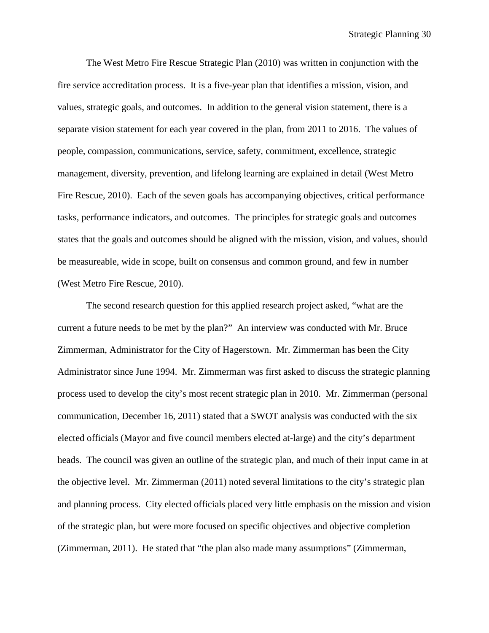The West Metro Fire Rescue Strategic Plan (2010) was written in conjunction with the fire service accreditation process. It is a five-year plan that identifies a mission, vision, and values, strategic goals, and outcomes. In addition to the general vision statement, there is a separate vision statement for each year covered in the plan, from 2011 to 2016. The values of people, compassion, communications, service, safety, commitment, excellence, strategic management, diversity, prevention, and lifelong learning are explained in detail (West Metro Fire Rescue, 2010). Each of the seven goals has accompanying objectives, critical performance tasks, performance indicators, and outcomes. The principles for strategic goals and outcomes states that the goals and outcomes should be aligned with the mission, vision, and values, should be measureable, wide in scope, built on consensus and common ground, and few in number (West Metro Fire Rescue, 2010).

The second research question for this applied research project asked, "what are the current a future needs to be met by the plan?" An interview was conducted with Mr. Bruce Zimmerman, Administrator for the City of Hagerstown. Mr. Zimmerman has been the City Administrator since June 1994. Mr. Zimmerman was first asked to discuss the strategic planning process used to develop the city's most recent strategic plan in 2010. Mr. Zimmerman (personal communication, December 16, 2011) stated that a SWOT analysis was conducted with the six elected officials (Mayor and five council members elected at-large) and the city's department heads. The council was given an outline of the strategic plan, and much of their input came in at the objective level. Mr. Zimmerman (2011) noted several limitations to the city's strategic plan and planning process. City elected officials placed very little emphasis on the mission and vision of the strategic plan, but were more focused on specific objectives and objective completion (Zimmerman, 2011). He stated that "the plan also made many assumptions" (Zimmerman,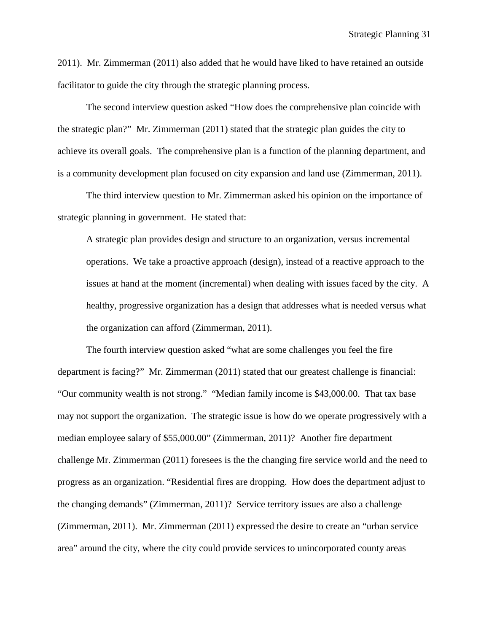2011). Mr. Zimmerman (2011) also added that he would have liked to have retained an outside facilitator to guide the city through the strategic planning process.

The second interview question asked "How does the comprehensive plan coincide with the strategic plan?" Mr. Zimmerman (2011) stated that the strategic plan guides the city to achieve its overall goals. The comprehensive plan is a function of the planning department, and is a community development plan focused on city expansion and land use (Zimmerman, 2011).

The third interview question to Mr. Zimmerman asked his opinion on the importance of strategic planning in government. He stated that:

A strategic plan provides design and structure to an organization, versus incremental operations. We take a proactive approach (design), instead of a reactive approach to the issues at hand at the moment (incremental) when dealing with issues faced by the city. A healthy, progressive organization has a design that addresses what is needed versus what the organization can afford (Zimmerman, 2011).

The fourth interview question asked "what are some challenges you feel the fire department is facing?" Mr. Zimmerman (2011) stated that our greatest challenge is financial: "Our community wealth is not strong." "Median family income is \$43,000.00. That tax base may not support the organization. The strategic issue is how do we operate progressively with a median employee salary of \$55,000.00" (Zimmerman, 2011)? Another fire department challenge Mr. Zimmerman (2011) foresees is the the changing fire service world and the need to progress as an organization. "Residential fires are dropping. How does the department adjust to the changing demands" (Zimmerman, 2011)? Service territory issues are also a challenge (Zimmerman, 2011). Mr. Zimmerman (2011) expressed the desire to create an "urban service area" around the city, where the city could provide services to unincorporated county areas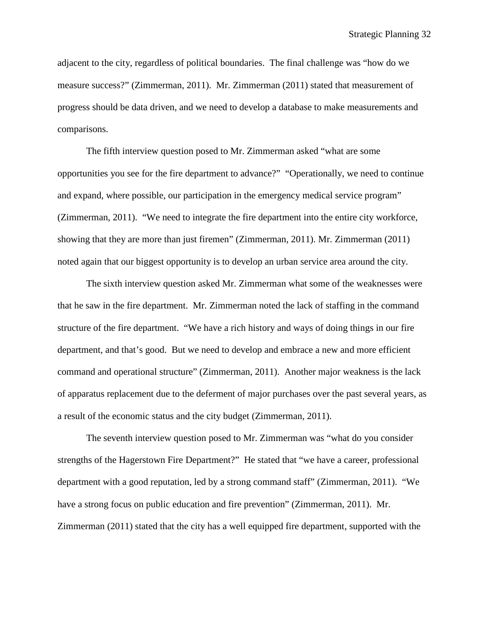adjacent to the city, regardless of political boundaries. The final challenge was "how do we measure success?" (Zimmerman, 2011). Mr. Zimmerman (2011) stated that measurement of progress should be data driven, and we need to develop a database to make measurements and comparisons.

The fifth interview question posed to Mr. Zimmerman asked "what are some opportunities you see for the fire department to advance?" "Operationally, we need to continue and expand, where possible, our participation in the emergency medical service program" (Zimmerman, 2011). "We need to integrate the fire department into the entire city workforce, showing that they are more than just firemen" (Zimmerman, 2011). Mr. Zimmerman (2011) noted again that our biggest opportunity is to develop an urban service area around the city.

The sixth interview question asked Mr. Zimmerman what some of the weaknesses were that he saw in the fire department. Mr. Zimmerman noted the lack of staffing in the command structure of the fire department. "We have a rich history and ways of doing things in our fire department, and that's good. But we need to develop and embrace a new and more efficient command and operational structure" (Zimmerman, 2011). Another major weakness is the lack of apparatus replacement due to the deferment of major purchases over the past several years, as a result of the economic status and the city budget (Zimmerman, 2011).

The seventh interview question posed to Mr. Zimmerman was "what do you consider strengths of the Hagerstown Fire Department?" He stated that "we have a career, professional department with a good reputation, led by a strong command staff" (Zimmerman, 2011). "We have a strong focus on public education and fire prevention" (Zimmerman, 2011). Mr. Zimmerman (2011) stated that the city has a well equipped fire department, supported with the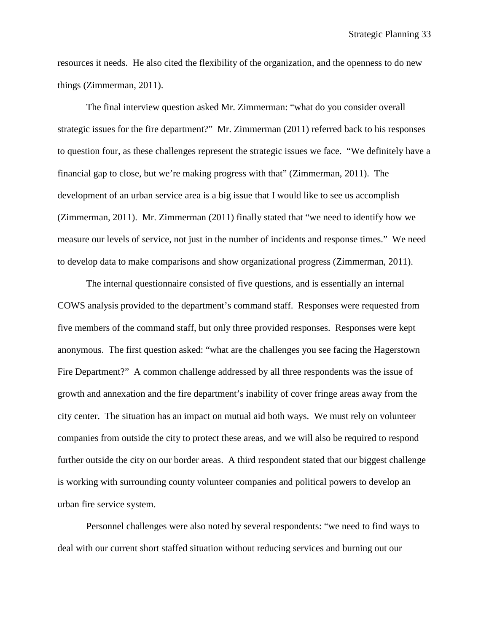resources it needs. He also cited the flexibility of the organization, and the openness to do new things (Zimmerman, 2011).

The final interview question asked Mr. Zimmerman: "what do you consider overall strategic issues for the fire department?" Mr. Zimmerman (2011) referred back to his responses to question four, as these challenges represent the strategic issues we face. "We definitely have a financial gap to close, but we're making progress with that" (Zimmerman, 2011). The development of an urban service area is a big issue that I would like to see us accomplish (Zimmerman, 2011). Mr. Zimmerman (2011) finally stated that "we need to identify how we measure our levels of service, not just in the number of incidents and response times." We need to develop data to make comparisons and show organizational progress (Zimmerman, 2011).

The internal questionnaire consisted of five questions, and is essentially an internal COWS analysis provided to the department's command staff. Responses were requested from five members of the command staff, but only three provided responses. Responses were kept anonymous. The first question asked: "what are the challenges you see facing the Hagerstown Fire Department?" A common challenge addressed by all three respondents was the issue of growth and annexation and the fire department's inability of cover fringe areas away from the city center. The situation has an impact on mutual aid both ways. We must rely on volunteer companies from outside the city to protect these areas, and we will also be required to respond further outside the city on our border areas. A third respondent stated that our biggest challenge is working with surrounding county volunteer companies and political powers to develop an urban fire service system.

Personnel challenges were also noted by several respondents: "we need to find ways to deal with our current short staffed situation without reducing services and burning out our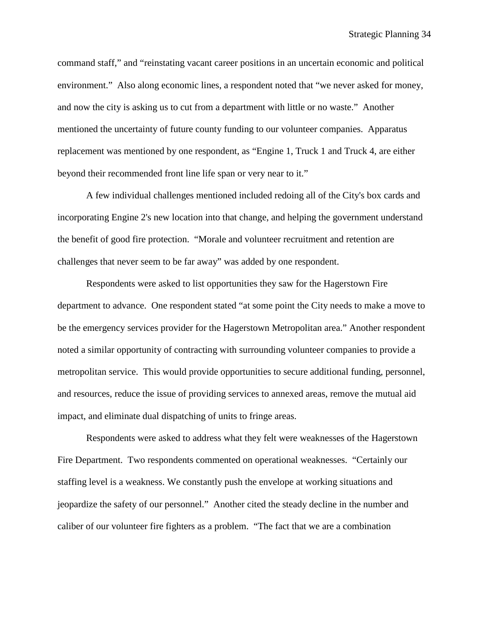command staff," and "reinstating vacant career positions in an uncertain economic and political environment." Also along economic lines, a respondent noted that "we never asked for money, and now the city is asking us to cut from a department with little or no waste." Another mentioned the uncertainty of future county funding to our volunteer companies. Apparatus replacement was mentioned by one respondent, as "Engine 1, Truck 1 and Truck 4, are either beyond their recommended front line life span or very near to it."

A few individual challenges mentioned included redoing all of the City's box cards and incorporating Engine 2's new location into that change, and helping the government understand the benefit of good fire protection. "Morale and volunteer recruitment and retention are challenges that never seem to be far away" was added by one respondent.

Respondents were asked to list opportunities they saw for the Hagerstown Fire department to advance. One respondent stated "at some point the City needs to make a move to be the emergency services provider for the Hagerstown Metropolitan area." Another respondent noted a similar opportunity of contracting with surrounding volunteer companies to provide a metropolitan service. This would provide opportunities to secure additional funding, personnel, and resources, reduce the issue of providing services to annexed areas, remove the mutual aid impact, and eliminate dual dispatching of units to fringe areas.

Respondents were asked to address what they felt were weaknesses of the Hagerstown Fire Department. Two respondents commented on operational weaknesses. "Certainly our staffing level is a weakness. We constantly push the envelope at working situations and jeopardize the safety of our personnel." Another cited the steady decline in the number and caliber of our volunteer fire fighters as a problem. "The fact that we are a combination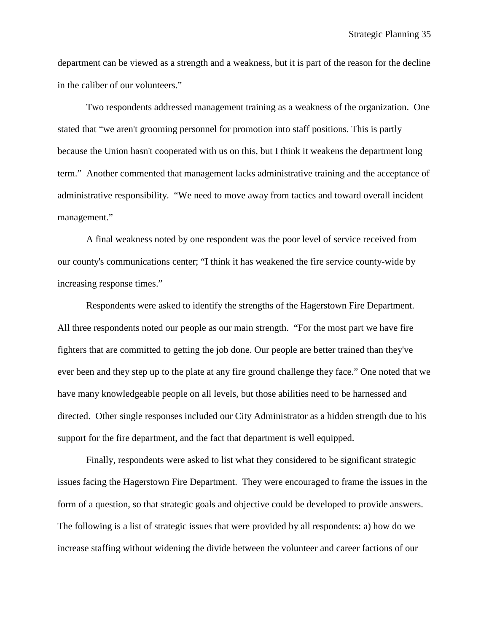department can be viewed as a strength and a weakness, but it is part of the reason for the decline in the caliber of our volunteers."

Two respondents addressed management training as a weakness of the organization. One stated that "we aren't grooming personnel for promotion into staff positions. This is partly because the Union hasn't cooperated with us on this, but I think it weakens the department long term." Another commented that management lacks administrative training and the acceptance of administrative responsibility. "We need to move away from tactics and toward overall incident management."

A final weakness noted by one respondent was the poor level of service received from our county's communications center; "I think it has weakened the fire service county-wide by increasing response times."

Respondents were asked to identify the strengths of the Hagerstown Fire Department. All three respondents noted our people as our main strength. "For the most part we have fire fighters that are committed to getting the job done. Our people are better trained than they've ever been and they step up to the plate at any fire ground challenge they face." One noted that we have many knowledgeable people on all levels, but those abilities need to be harnessed and directed. Other single responses included our City Administrator as a hidden strength due to his support for the fire department, and the fact that department is well equipped.

Finally, respondents were asked to list what they considered to be significant strategic issues facing the Hagerstown Fire Department. They were encouraged to frame the issues in the form of a question, so that strategic goals and objective could be developed to provide answers. The following is a list of strategic issues that were provided by all respondents: a) how do we increase staffing without widening the divide between the volunteer and career factions of our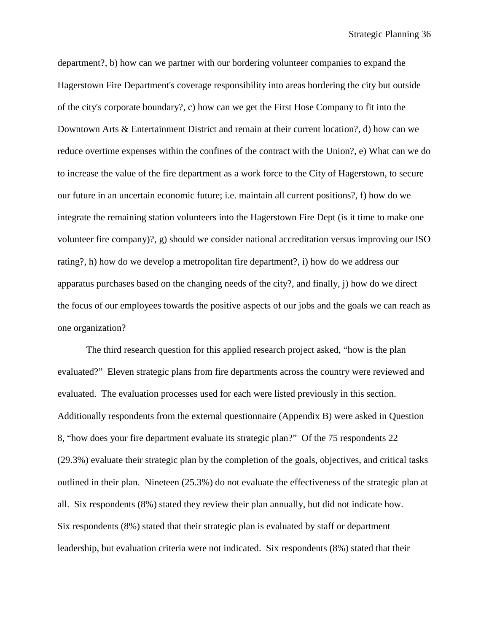department?, b) how can we partner with our bordering volunteer companies to expand the Hagerstown Fire Department's coverage responsibility into areas bordering the city but outside of the city's corporate boundary?, c) how can we get the First Hose Company to fit into the Downtown Arts & Entertainment District and remain at their current location?, d) how can we reduce overtime expenses within the confines of the contract with the Union?, e) What can we do to increase the value of the fire department as a work force to the City of Hagerstown, to secure our future in an uncertain economic future; i.e. maintain all current positions?, f) how do we integrate the remaining station volunteers into the Hagerstown Fire Dept (is it time to make one volunteer fire company)?, g) should we consider national accreditation versus improving our ISO rating?, h) how do we develop a metropolitan fire department?, i) how do we address our apparatus purchases based on the changing needs of the city?, and finally, j) how do we direct the focus of our employees towards the positive aspects of our jobs and the goals we can reach as one organization?

The third research question for this applied research project asked, "how is the plan evaluated?" Eleven strategic plans from fire departments across the country were reviewed and evaluated. The evaluation processes used for each were listed previously in this section. Additionally respondents from the external questionnaire (Appendix B) were asked in Question 8, "how does your fire department evaluate its strategic plan?" Of the 75 respondents 22 (29.3%) evaluate their strategic plan by the completion of the goals, objectives, and critical tasks outlined in their plan. Nineteen (25.3%) do not evaluate the effectiveness of the strategic plan at all. Six respondents (8%) stated they review their plan annually, but did not indicate how. Six respondents (8%) stated that their strategic plan is evaluated by staff or department leadership, but evaluation criteria were not indicated. Six respondents (8%) stated that their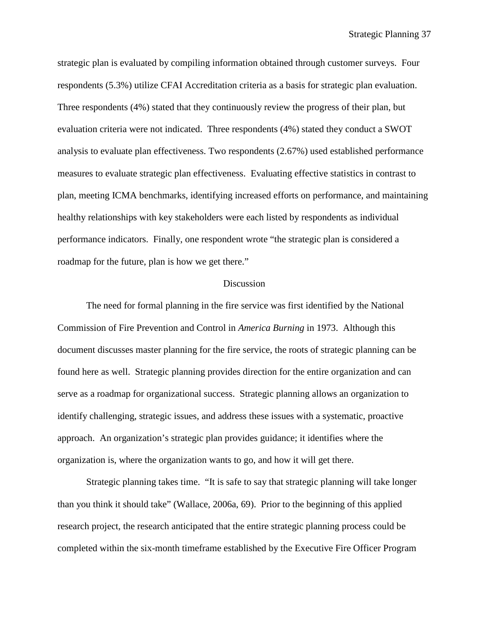strategic plan is evaluated by compiling information obtained through customer surveys. Four respondents (5.3%) utilize CFAI Accreditation criteria as a basis for strategic plan evaluation. Three respondents (4%) stated that they continuously review the progress of their plan, but evaluation criteria were not indicated. Three respondents (4%) stated they conduct a SWOT analysis to evaluate plan effectiveness. Two respondents (2.67%) used established performance measures to evaluate strategic plan effectiveness. Evaluating effective statistics in contrast to plan, meeting ICMA benchmarks, identifying increased efforts on performance, and maintaining healthy relationships with key stakeholders were each listed by respondents as individual performance indicators. Finally, one respondent wrote "the strategic plan is considered a roadmap for the future, plan is how we get there."

#### **Discussion**

The need for formal planning in the fire service was first identified by the National Commission of Fire Prevention and Control in *America Burning* in 1973. Although this document discusses master planning for the fire service, the roots of strategic planning can be found here as well. Strategic planning provides direction for the entire organization and can serve as a roadmap for organizational success. Strategic planning allows an organization to identify challenging, strategic issues, and address these issues with a systematic, proactive approach. An organization's strategic plan provides guidance; it identifies where the organization is, where the organization wants to go, and how it will get there.

Strategic planning takes time. "It is safe to say that strategic planning will take longer than you think it should take" (Wallace, 2006a, 69). Prior to the beginning of this applied research project, the research anticipated that the entire strategic planning process could be completed within the six-month timeframe established by the Executive Fire Officer Program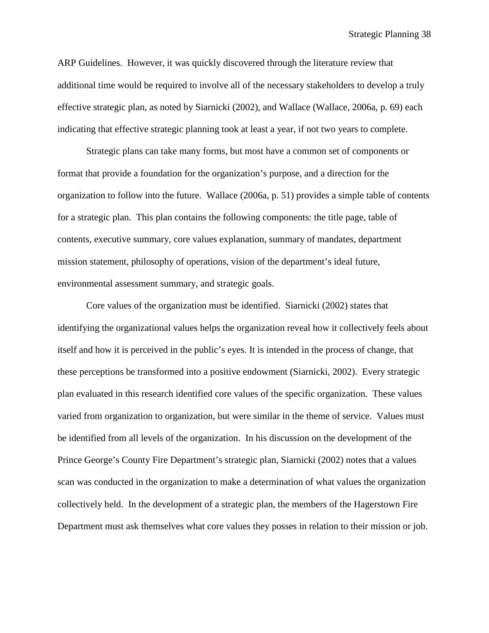Strategic Planning 38

ARP Guidelines. However, it was quickly discovered through the literature review that additional time would be required to involve all of the necessary stakeholders to develop a truly effective strategic plan, as noted by Siarnicki (2002), and Wallace (Wallace, 2006a, p. 69) each indicating that effective strategic planning took at least a year, if not two years to complete.

Strategic plans can take many forms, but most have a common set of components or format that provide a foundation for the organization's purpose, and a direction for the organization to follow into the future. Wallace (2006a, p. 51) provides a simple table of contents for a strategic plan. This plan contains the following components: the title page, table of contents, executive summary, core values explanation, summary of mandates, department mission statement, philosophy of operations, vision of the department's ideal future, environmental assessment summary, and strategic goals.

Core values of the organization must be identified. Siarnicki (2002) states that identifying the organizational values helps the organization reveal how it collectively feels about itself and how it is perceived in the public's eyes. It is intended in the process of change, that these perceptions be transformed into a positive endowment (Siarnicki, 2002). Every strategic plan evaluated in this research identified core values of the specific organization. These values varied from organization to organization, but were similar in the theme of service. Values must be identified from all levels of the organization. In his discussion on the development of the Prince George's County Fire Department's strategic plan, Siarnicki (2002) notes that a values scan was conducted in the organization to make a determination of what values the organization collectively held. In the development of a strategic plan, the members of the Hagerstown Fire Department must ask themselves what core values they posses in relation to their mission or job.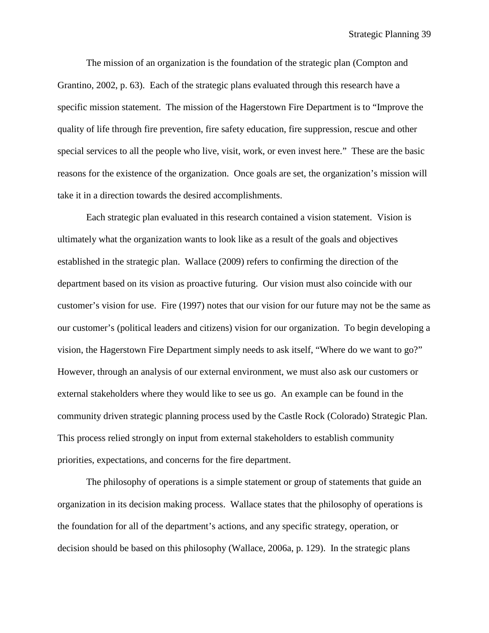The mission of an organization is the foundation of the strategic plan (Compton and Grantino, 2002, p. 63). Each of the strategic plans evaluated through this research have a specific mission statement. The mission of the Hagerstown Fire Department is to "Improve the quality of life through fire prevention, fire safety education, fire suppression, rescue and other special services to all the people who live, visit, work, or even invest here." These are the basic reasons for the existence of the organization. Once goals are set, the organization's mission will take it in a direction towards the desired accomplishments.

Each strategic plan evaluated in this research contained a vision statement. Vision is ultimately what the organization wants to look like as a result of the goals and objectives established in the strategic plan. Wallace (2009) refers to confirming the direction of the department based on its vision as proactive futuring. Our vision must also coincide with our customer's vision for use. Fire (1997) notes that our vision for our future may not be the same as our customer's (political leaders and citizens) vision for our organization. To begin developing a vision, the Hagerstown Fire Department simply needs to ask itself, "Where do we want to go?" However, through an analysis of our external environment, we must also ask our customers or external stakeholders where they would like to see us go. An example can be found in the community driven strategic planning process used by the Castle Rock (Colorado) Strategic Plan. This process relied strongly on input from external stakeholders to establish community priorities, expectations, and concerns for the fire department.

The philosophy of operations is a simple statement or group of statements that guide an organization in its decision making process. Wallace states that the philosophy of operations is the foundation for all of the department's actions, and any specific strategy, operation, or decision should be based on this philosophy (Wallace, 2006a, p. 129). In the strategic plans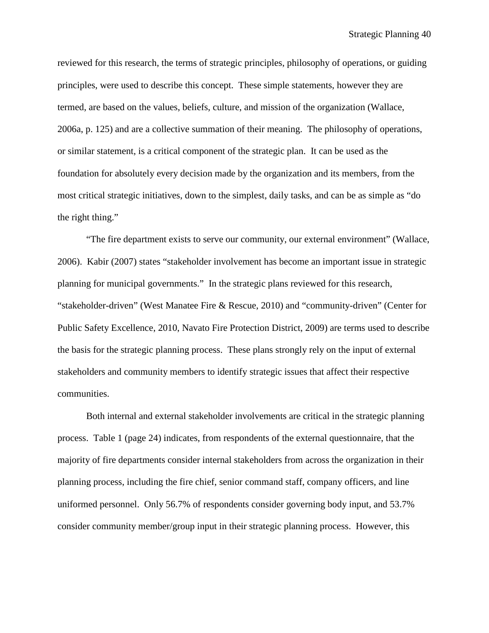reviewed for this research, the terms of strategic principles, philosophy of operations, or guiding principles, were used to describe this concept. These simple statements, however they are termed, are based on the values, beliefs, culture, and mission of the organization (Wallace, 2006a, p. 125) and are a collective summation of their meaning. The philosophy of operations, or similar statement, is a critical component of the strategic plan. It can be used as the foundation for absolutely every decision made by the organization and its members, from the most critical strategic initiatives, down to the simplest, daily tasks, and can be as simple as "do the right thing."

"The fire department exists to serve our community, our external environment" (Wallace, 2006). Kabir (2007) states "stakeholder involvement has become an important issue in strategic planning for municipal governments." In the strategic plans reviewed for this research, "stakeholder-driven" (West Manatee Fire & Rescue, 2010) and "community-driven" (Center for Public Safety Excellence, 2010, Navato Fire Protection District, 2009) are terms used to describe the basis for the strategic planning process. These plans strongly rely on the input of external stakeholders and community members to identify strategic issues that affect their respective communities.

Both internal and external stakeholder involvements are critical in the strategic planning process. Table 1 (page 24) indicates, from respondents of the external questionnaire, that the majority of fire departments consider internal stakeholders from across the organization in their planning process, including the fire chief, senior command staff, company officers, and line uniformed personnel. Only 56.7% of respondents consider governing body input, and 53.7% consider community member/group input in their strategic planning process. However, this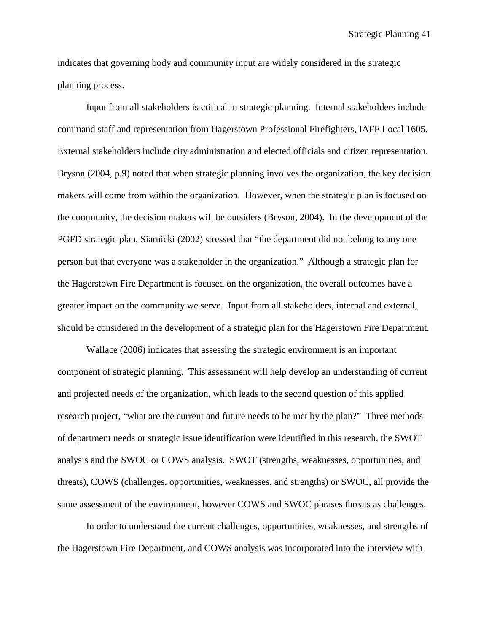indicates that governing body and community input are widely considered in the strategic planning process.

Input from all stakeholders is critical in strategic planning. Internal stakeholders include command staff and representation from Hagerstown Professional Firefighters, IAFF Local 1605. External stakeholders include city administration and elected officials and citizen representation. Bryson (2004, p.9) noted that when strategic planning involves the organization, the key decision makers will come from within the organization. However, when the strategic plan is focused on the community, the decision makers will be outsiders (Bryson, 2004). In the development of the PGFD strategic plan, Siarnicki (2002) stressed that "the department did not belong to any one person but that everyone was a stakeholder in the organization." Although a strategic plan for the Hagerstown Fire Department is focused on the organization, the overall outcomes have a greater impact on the community we serve. Input from all stakeholders, internal and external, should be considered in the development of a strategic plan for the Hagerstown Fire Department.

Wallace (2006) indicates that assessing the strategic environment is an important component of strategic planning. This assessment will help develop an understanding of current and projected needs of the organization, which leads to the second question of this applied research project, "what are the current and future needs to be met by the plan?" Three methods of department needs or strategic issue identification were identified in this research, the SWOT analysis and the SWOC or COWS analysis. SWOT (strengths, weaknesses, opportunities, and threats), COWS (challenges, opportunities, weaknesses, and strengths) or SWOC, all provide the same assessment of the environment, however COWS and SWOC phrases threats as challenges.

In order to understand the current challenges, opportunities, weaknesses, and strengths of the Hagerstown Fire Department, and COWS analysis was incorporated into the interview with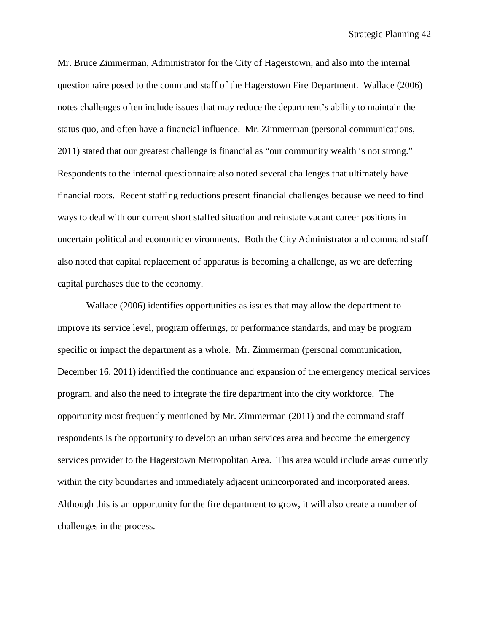Mr. Bruce Zimmerman, Administrator for the City of Hagerstown, and also into the internal questionnaire posed to the command staff of the Hagerstown Fire Department. Wallace (2006) notes challenges often include issues that may reduce the department's ability to maintain the status quo, and often have a financial influence. Mr. Zimmerman (personal communications, 2011) stated that our greatest challenge is financial as "our community wealth is not strong." Respondents to the internal questionnaire also noted several challenges that ultimately have financial roots. Recent staffing reductions present financial challenges because we need to find ways to deal with our current short staffed situation and reinstate vacant career positions in uncertain political and economic environments. Both the City Administrator and command staff also noted that capital replacement of apparatus is becoming a challenge, as we are deferring capital purchases due to the economy.

Wallace (2006) identifies opportunities as issues that may allow the department to improve its service level, program offerings, or performance standards, and may be program specific or impact the department as a whole. Mr. Zimmerman (personal communication, December 16, 2011) identified the continuance and expansion of the emergency medical services program, and also the need to integrate the fire department into the city workforce. The opportunity most frequently mentioned by Mr. Zimmerman (2011) and the command staff respondents is the opportunity to develop an urban services area and become the emergency services provider to the Hagerstown Metropolitan Area. This area would include areas currently within the city boundaries and immediately adjacent unincorporated and incorporated areas. Although this is an opportunity for the fire department to grow, it will also create a number of challenges in the process.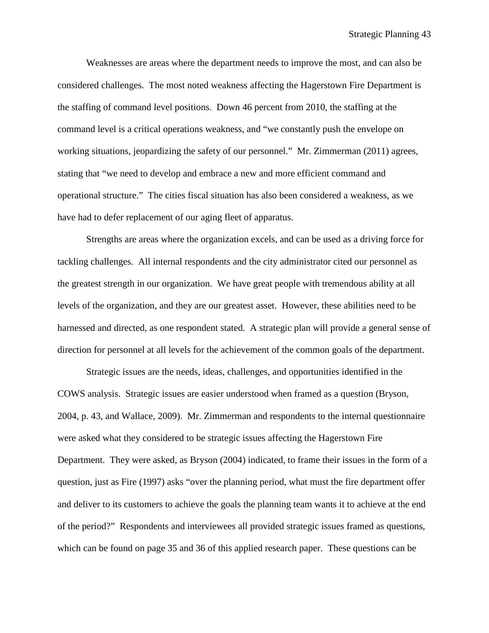Weaknesses are areas where the department needs to improve the most, and can also be considered challenges. The most noted weakness affecting the Hagerstown Fire Department is the staffing of command level positions. Down 46 percent from 2010, the staffing at the command level is a critical operations weakness, and "we constantly push the envelope on working situations, jeopardizing the safety of our personnel." Mr. Zimmerman (2011) agrees, stating that "we need to develop and embrace a new and more efficient command and operational structure." The cities fiscal situation has also been considered a weakness, as we have had to defer replacement of our aging fleet of apparatus.

Strengths are areas where the organization excels, and can be used as a driving force for tackling challenges. All internal respondents and the city administrator cited our personnel as the greatest strength in our organization. We have great people with tremendous ability at all levels of the organization, and they are our greatest asset. However, these abilities need to be harnessed and directed, as one respondent stated. A strategic plan will provide a general sense of direction for personnel at all levels for the achievement of the common goals of the department.

Strategic issues are the needs, ideas, challenges, and opportunities identified in the COWS analysis. Strategic issues are easier understood when framed as a question (Bryson, 2004, p. 43, and Wallace, 2009). Mr. Zimmerman and respondents to the internal questionnaire were asked what they considered to be strategic issues affecting the Hagerstown Fire Department. They were asked, as Bryson (2004) indicated, to frame their issues in the form of a question, just as Fire (1997) asks "over the planning period, what must the fire department offer and deliver to its customers to achieve the goals the planning team wants it to achieve at the end of the period?" Respondents and interviewees all provided strategic issues framed as questions, which can be found on page 35 and 36 of this applied research paper. These questions can be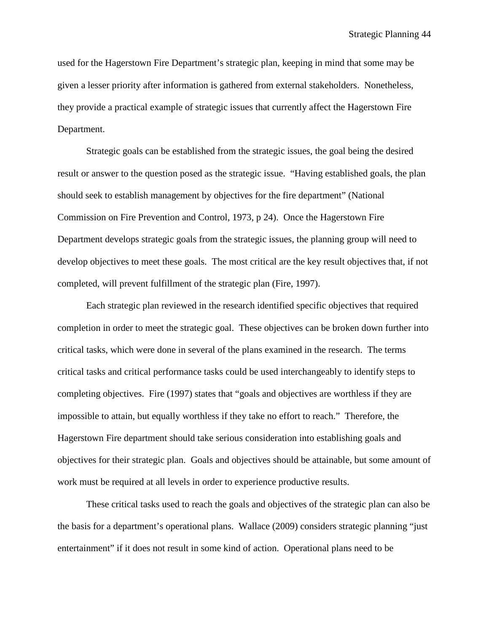used for the Hagerstown Fire Department's strategic plan, keeping in mind that some may be given a lesser priority after information is gathered from external stakeholders. Nonetheless, they provide a practical example of strategic issues that currently affect the Hagerstown Fire Department.

Strategic goals can be established from the strategic issues, the goal being the desired result or answer to the question posed as the strategic issue. "Having established goals, the plan should seek to establish management by objectives for the fire department" (National Commission on Fire Prevention and Control, 1973, p 24). Once the Hagerstown Fire Department develops strategic goals from the strategic issues, the planning group will need to develop objectives to meet these goals. The most critical are the key result objectives that, if not completed, will prevent fulfillment of the strategic plan (Fire, 1997).

Each strategic plan reviewed in the research identified specific objectives that required completion in order to meet the strategic goal. These objectives can be broken down further into critical tasks, which were done in several of the plans examined in the research. The terms critical tasks and critical performance tasks could be used interchangeably to identify steps to completing objectives. Fire (1997) states that "goals and objectives are worthless if they are impossible to attain, but equally worthless if they take no effort to reach." Therefore, the Hagerstown Fire department should take serious consideration into establishing goals and objectives for their strategic plan. Goals and objectives should be attainable, but some amount of work must be required at all levels in order to experience productive results.

These critical tasks used to reach the goals and objectives of the strategic plan can also be the basis for a department's operational plans. Wallace (2009) considers strategic planning "just entertainment" if it does not result in some kind of action. Operational plans need to be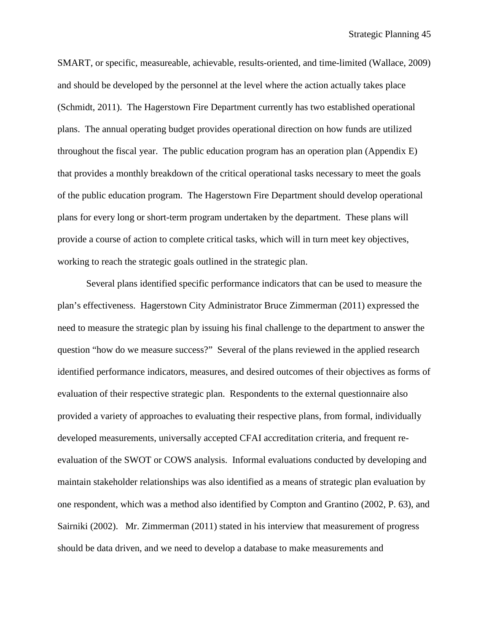SMART, or specific, measureable, achievable, results-oriented, and time-limited (Wallace, 2009) and should be developed by the personnel at the level where the action actually takes place (Schmidt, 2011). The Hagerstown Fire Department currently has two established operational plans. The annual operating budget provides operational direction on how funds are utilized throughout the fiscal year. The public education program has an operation plan (Appendix E) that provides a monthly breakdown of the critical operational tasks necessary to meet the goals of the public education program. The Hagerstown Fire Department should develop operational plans for every long or short-term program undertaken by the department. These plans will provide a course of action to complete critical tasks, which will in turn meet key objectives, working to reach the strategic goals outlined in the strategic plan.

Several plans identified specific performance indicators that can be used to measure the plan's effectiveness. Hagerstown City Administrator Bruce Zimmerman (2011) expressed the need to measure the strategic plan by issuing his final challenge to the department to answer the question "how do we measure success?" Several of the plans reviewed in the applied research identified performance indicators, measures, and desired outcomes of their objectives as forms of evaluation of their respective strategic plan. Respondents to the external questionnaire also provided a variety of approaches to evaluating their respective plans, from formal, individually developed measurements, universally accepted CFAI accreditation criteria, and frequent reevaluation of the SWOT or COWS analysis. Informal evaluations conducted by developing and maintain stakeholder relationships was also identified as a means of strategic plan evaluation by one respondent, which was a method also identified by Compton and Grantino (2002, P. 63), and Sairniki (2002). Mr. Zimmerman (2011) stated in his interview that measurement of progress should be data driven, and we need to develop a database to make measurements and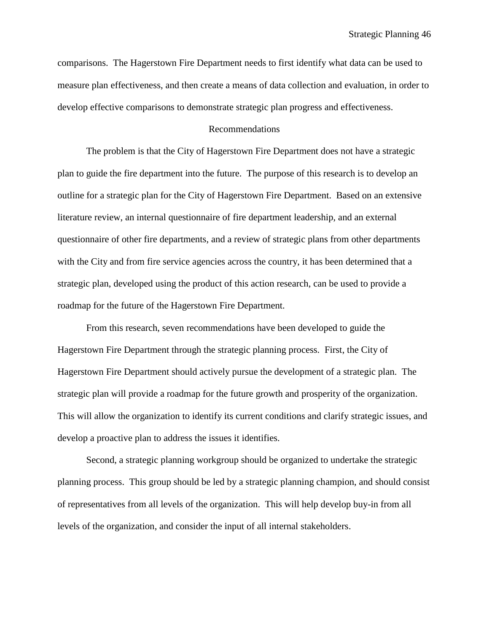comparisons. The Hagerstown Fire Department needs to first identify what data can be used to measure plan effectiveness, and then create a means of data collection and evaluation, in order to develop effective comparisons to demonstrate strategic plan progress and effectiveness.

#### Recommendations

The problem is that the City of Hagerstown Fire Department does not have a strategic plan to guide the fire department into the future. The purpose of this research is to develop an outline for a strategic plan for the City of Hagerstown Fire Department. Based on an extensive literature review, an internal questionnaire of fire department leadership, and an external questionnaire of other fire departments, and a review of strategic plans from other departments with the City and from fire service agencies across the country, it has been determined that a strategic plan, developed using the product of this action research, can be used to provide a roadmap for the future of the Hagerstown Fire Department.

From this research, seven recommendations have been developed to guide the Hagerstown Fire Department through the strategic planning process. First, the City of Hagerstown Fire Department should actively pursue the development of a strategic plan. The strategic plan will provide a roadmap for the future growth and prosperity of the organization. This will allow the organization to identify its current conditions and clarify strategic issues, and develop a proactive plan to address the issues it identifies.

Second, a strategic planning workgroup should be organized to undertake the strategic planning process. This group should be led by a strategic planning champion, and should consist of representatives from all levels of the organization. This will help develop buy-in from all levels of the organization, and consider the input of all internal stakeholders.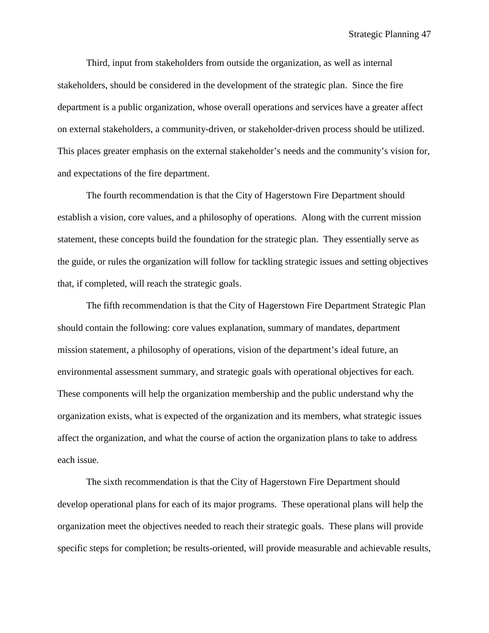Third, input from stakeholders from outside the organization, as well as internal stakeholders, should be considered in the development of the strategic plan. Since the fire department is a public organization, whose overall operations and services have a greater affect on external stakeholders, a community-driven, or stakeholder-driven process should be utilized. This places greater emphasis on the external stakeholder's needs and the community's vision for, and expectations of the fire department.

The fourth recommendation is that the City of Hagerstown Fire Department should establish a vision, core values, and a philosophy of operations. Along with the current mission statement, these concepts build the foundation for the strategic plan. They essentially serve as the guide, or rules the organization will follow for tackling strategic issues and setting objectives that, if completed, will reach the strategic goals.

The fifth recommendation is that the City of Hagerstown Fire Department Strategic Plan should contain the following: core values explanation, summary of mandates, department mission statement, a philosophy of operations, vision of the department's ideal future, an environmental assessment summary, and strategic goals with operational objectives for each. These components will help the organization membership and the public understand why the organization exists, what is expected of the organization and its members, what strategic issues affect the organization, and what the course of action the organization plans to take to address each issue.

The sixth recommendation is that the City of Hagerstown Fire Department should develop operational plans for each of its major programs. These operational plans will help the organization meet the objectives needed to reach their strategic goals. These plans will provide specific steps for completion; be results-oriented, will provide measurable and achievable results,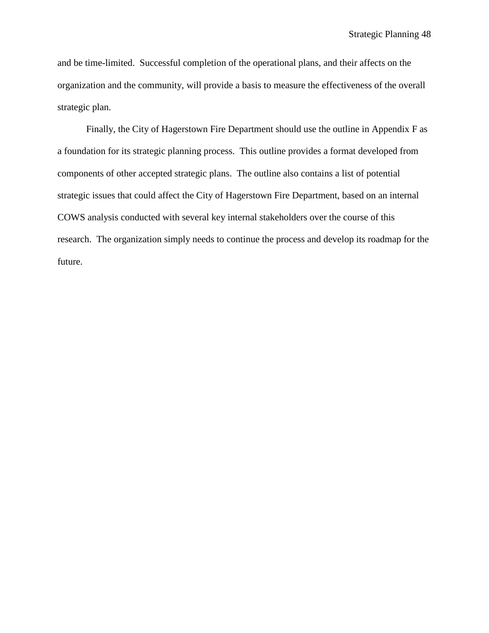and be time-limited. Successful completion of the operational plans, and their affects on the organization and the community, will provide a basis to measure the effectiveness of the overall strategic plan.

Finally, the City of Hagerstown Fire Department should use the outline in Appendix F as a foundation for its strategic planning process. This outline provides a format developed from components of other accepted strategic plans. The outline also contains a list of potential strategic issues that could affect the City of Hagerstown Fire Department, based on an internal COWS analysis conducted with several key internal stakeholders over the course of this research. The organization simply needs to continue the process and develop its roadmap for the future.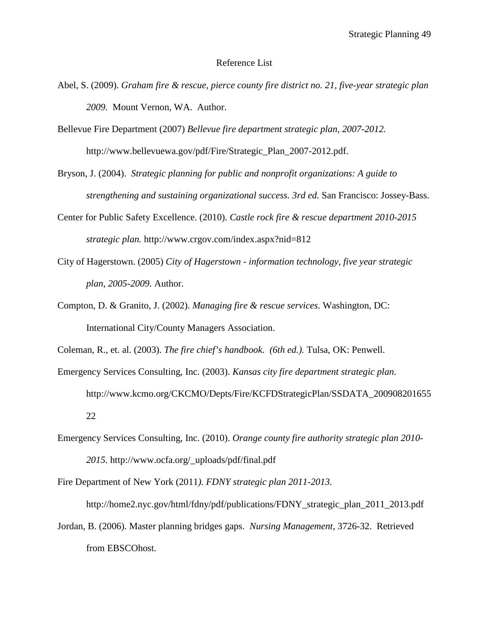#### Reference List

- Abel, S. (2009). *Graham fire & rescue, pierce county fire district no. 21, five-year strategic plan 2009.* Mount Vernon, WA. Author.
- Bellevue Fire Department (2007) *Bellevue fire department strategic plan, 2007-2012.* http://www.bellevuewa.gov/pdf/Fire/Strategic\_Plan\_2007-2012.pdf.
- Bryson, J. (2004). *Strategic planning for public and nonprofit organizations: A guide to strengthening and sustaining organizational success. 3rd ed.* San Francisco: Jossey-Bass.
- Center for Public Safety Excellence. (2010). *Castle rock fire & rescue department 2010-2015 strategic plan.* http://www.crgov.com/index.aspx?nid=812
- City of Hagerstown. (2005) *City of Hagerstown - information technology, five year strategic plan, 2005-2009.* Author.
- Compton, D. & Granito, J. (2002). *Managing fire & rescue services.* Washington, DC: International City/County Managers Association.

Coleman, R., et. al. (2003). *The fire chief's handbook. (6th ed.).* Tulsa, OK: Penwell.

- Emergency Services Consulting, Inc. (2003). *Kansas city fire department strategic plan.* http://www.kcmo.org/CKCMO/Depts/Fire/KCFDStrategicPlan/SSDATA\_200908201655 22
- Emergency Services Consulting, Inc. (2010). *Orange county fire authority strategic plan 2010- 2015.* http://www.ocfa.org/\_uploads/pdf/final.pdf

Fire Department of New York (2011*). FDNY strategic plan 2011-2013.*

http://home2.nyc.gov/html/fdny/pdf/publications/FDNY\_strategic\_plan\_2011\_2013.pdf

Jordan, B. (2006). Master planning bridges gaps. *Nursing Management,* 3726-32. Retrieved from EBSCOhost.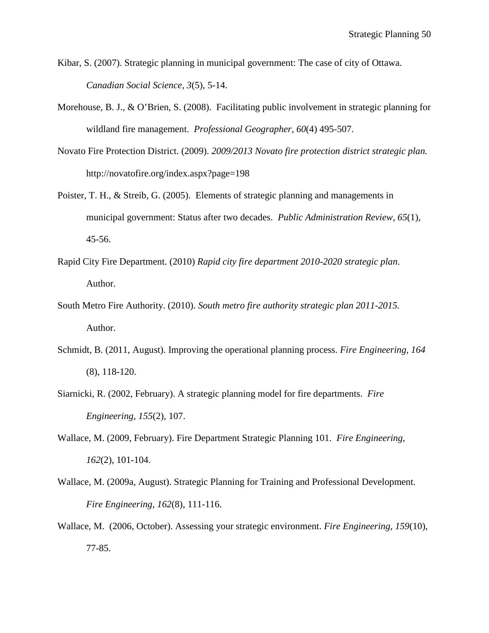- Kibar, S. (2007). Strategic planning in municipal government: The case of city of Ottawa. *Canadian Social Science, 3*(5), 5-14.
- Morehouse, B. J., & O'Brien, S. (2008). Facilitating public involvement in strategic planning for wildland fire management. *Professional Geographer, 60*(4) 495-507.
- Novato Fire Protection District. (2009). *2009/2013 Novato fire protection district strategic plan.*  http://novatofire.org/index.aspx?page=198
- Poister, T. H., & Streib, G. (2005). Elements of strategic planning and managements in municipal government: Status after two decades. *Public Administration Review, 65*(1), 45-56.
- Rapid City Fire Department. (2010) *Rapid city fire department 2010-2020 strategic plan*. Author.
- South Metro Fire Authority. (2010). *South metro fire authority strategic plan 2011-2015.* Author.
- Schmidt, B. (2011, August). Improving the operational planning process. *Fire Engineering, 164* (8), 118-120.
- Siarnicki, R. (2002, February). A strategic planning model for fire departments. *Fire Engineering, 155*(2), 107.
- Wallace, M. (2009, February). Fire Department Strategic Planning 101. *Fire Engineering, 162*(2), 101-104.
- Wallace, M. (2009a, August). Strategic Planning for Training and Professional Development. *Fire Engineering, 162*(8), 111-116.
- Wallace, M. (2006, October). Assessing your strategic environment. *Fire Engineering, 159*(10), 77-85.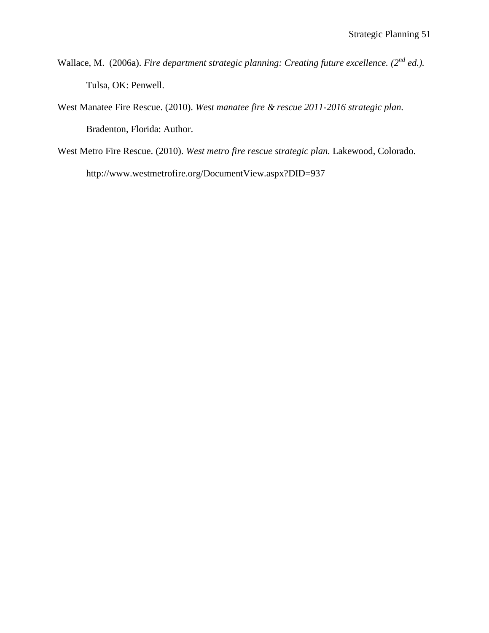- Wallace, M. (2006a). *Fire department strategic planning: Creating future excellence.* (2<sup>nd</sup> *ed.*). Tulsa, OK: Penwell.
- West Manatee Fire Rescue. (2010). *West manatee fire & rescue 2011-2016 strategic plan.* Bradenton, Florida: Author.
- West Metro Fire Rescue. (2010). *West metro fire rescue strategic plan.* Lakewood, Colorado. http://www.westmetrofire.org/DocumentView.aspx?DID=937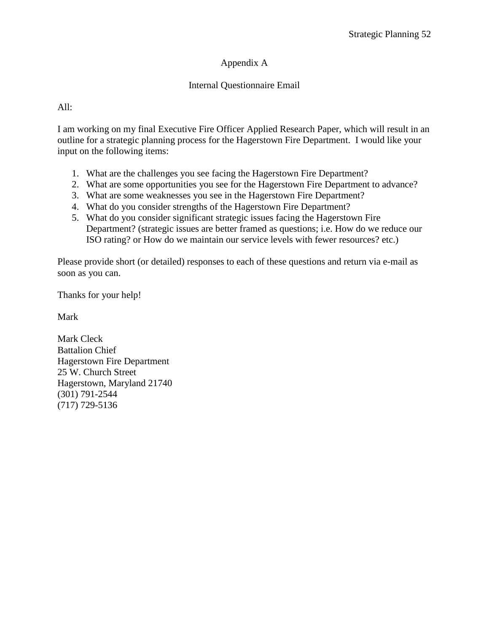## Appendix A

### Internal Questionnaire Email

### All:

I am working on my final Executive Fire Officer Applied Research Paper, which will result in an outline for a strategic planning process for the Hagerstown Fire Department. I would like your input on the following items:

- 1. What are the challenges you see facing the Hagerstown Fire Department?
- 2. What are some opportunities you see for the Hagerstown Fire Department to advance?
- 3. What are some weaknesses you see in the Hagerstown Fire Department?
- 4. What do you consider strengths of the Hagerstown Fire Department?
- 5. What do you consider significant strategic issues facing the Hagerstown Fire Department? (strategic issues are better framed as questions; i.e. How do we reduce our ISO rating? or How do we maintain our service levels with fewer resources? etc.)

Please provide short (or detailed) responses to each of these questions and return via e-mail as soon as you can.

Thanks for your help!

Mark

Mark Cleck Battalion Chief Hagerstown Fire Department 25 W. Church Street Hagerstown, Maryland 21740 (301) 791-2544 (717) 729-5136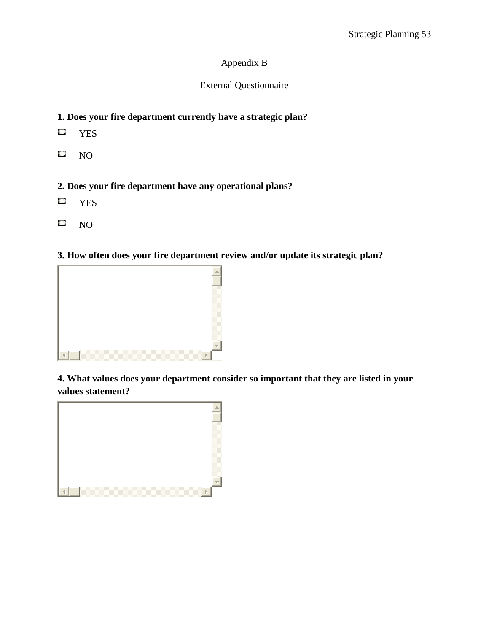# Appendix B

# External Questionnaire

# **1. Does your fire department currently have a strategic plan?**

- $\mathbb{C}$ YES
- C NO

# **2. Does your fire department have any operational plans?**

- С YES
- C NO

## **3. How often does your fire department review and/or update its strategic plan?**



**4. What values does your department consider so important that they are listed in your values statement?**

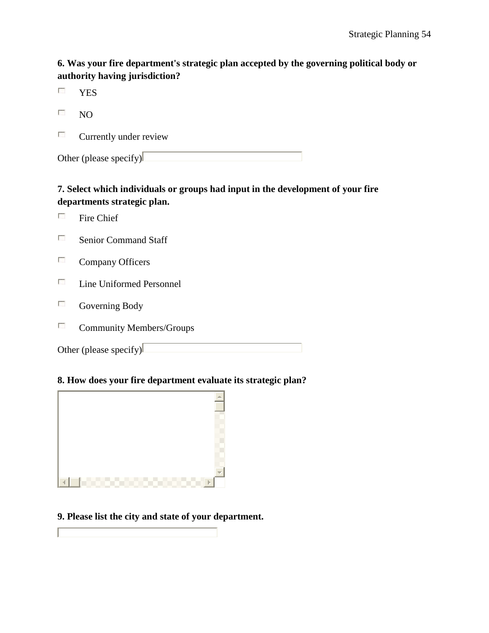# **6. Was your fire department's strategic plan accepted by the governing political body or authority having jurisdiction?**

- $\mathcal{C}$ YES
- $\left\lceil \frac{1}{2} \right\rceil$ NO
- $\overline{\mathcal{L}_{\mathcal{A}}}$ Currently under review

Other (please specify) $\Box$ 

# **7. Select which individuals or groups had input in the development of your fire departments strategic plan.**

- $\mathcal{L}_{\mathcal{L}}$ Fire Chief
- $\mathcal{L}_{\mathcal{L}}$ Senior Command Staff
- $\mathcal{L}_{\mathcal{L}}$ Company Officers
- $\mathcal{C}^{\mathcal{C}}$ Line Uniformed Personnel
- $\mathcal{L}_{\mathcal{A}}$ Governing Body

Г

 $\overline{\mathcal{L}_{\mathcal{A}}}$ Community Members/Groups

Other (please specify) $\Box$ 

## **8. How does your fire department evaluate its strategic plan?**



## **9. Please list the city and state of your department.**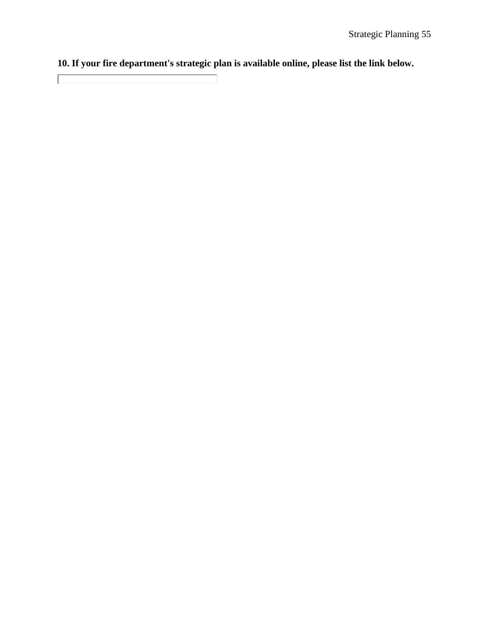**10. If your fire department's strategic plan is available online, please list the link below.**

 $\Box$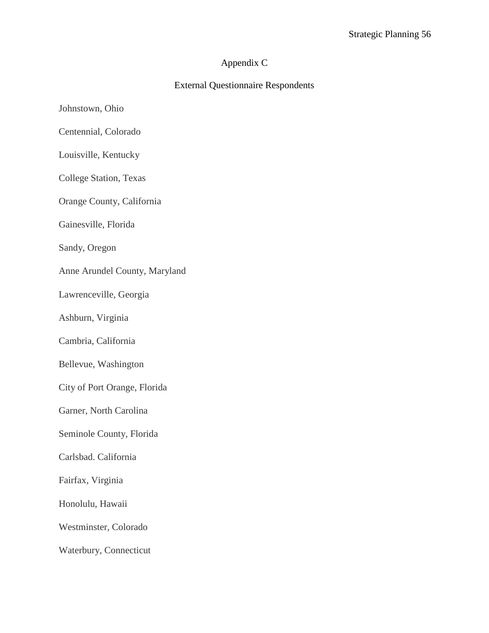# Appendix C

## External Questionnaire Respondents

- Johnstown, Ohio
- Centennial, Colorado
- Louisville, Kentucky
- College Station, Texas
- Orange County, California
- Gainesville, Florida
- Sandy, Oregon
- Anne Arundel County, Maryland
- Lawrenceville, Georgia
- Ashburn, Virginia
- Cambria, California
- Bellevue, Washington
- City of Port Orange, Florida
- Garner, North Carolina
- Seminole County, Florida
- Carlsbad. California
- Fairfax, Virginia
- Honolulu, Hawaii
- Westminster, Colorado
- Waterbury, Connecticut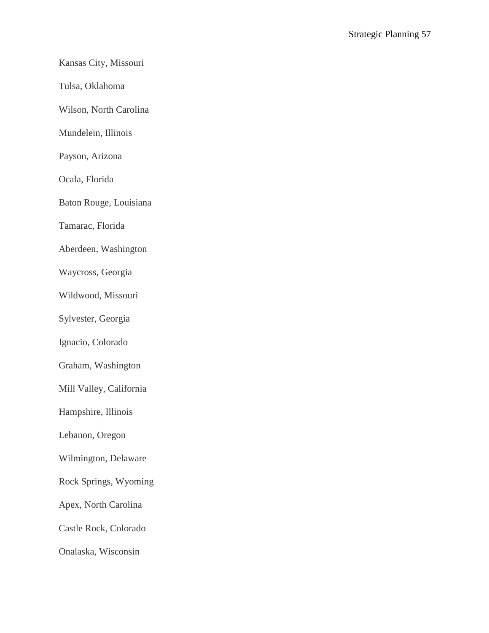# Kansas City, Missouri

Tulsa, Oklahoma

Wilson, North Carolina

Mundelein, Illinois

Payson, Arizona

Ocala, Florida

Baton Rouge, Louisiana

Tamarac, Florida

Aberdeen, Washington

Waycross, Georgia

Wildwood, Missouri

Sylvester, Georgia

Ignacio, Colorado

Graham, Washington

Mill Valley, California

Hampshire, Illinois

Lebanon, Oregon

Wilmington, Delaware

Rock Springs, Wyoming

Apex, North Carolina

Castle Rock, Colorado

Onalaska, Wisconsin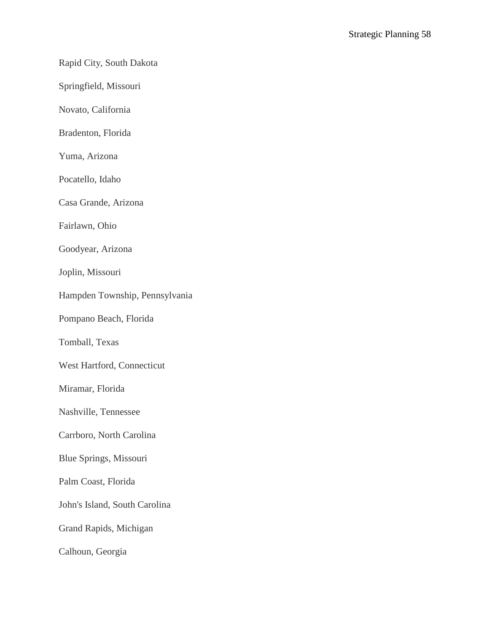### Rapid City, South Dakota

Springfield, Missouri

Novato, California

Bradenton, Florida

Yuma, Arizona

Pocatello, Idaho

Casa Grande, Arizona

Fairlawn, Ohio

Goodyear, Arizona

Joplin, Missouri

Hampden Township, Pennsylvania

Pompano Beach, Florida

Tomball, Texas

West Hartford, Connecticut

Miramar, Florida

Nashville, Tennessee

Carrboro, North Carolina

Blue Springs, Missouri

Palm Coast, Florida

John's Island, South Carolina

Grand Rapids, Michigan

Calhoun, Georgia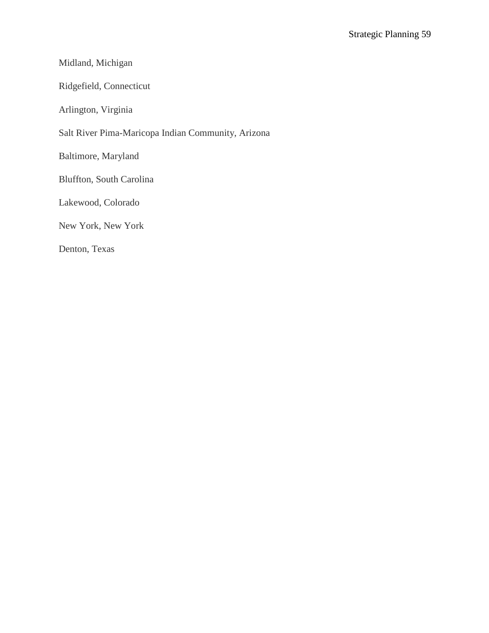## Midland, Michigan

Ridgefield, Connecticut

Arlington, Virginia

Salt River Pima-Maricopa Indian Community, Arizona

Baltimore, Maryland

Bluffton, South Carolina

Lakewood, Colorado

New York, New York

Denton, Texas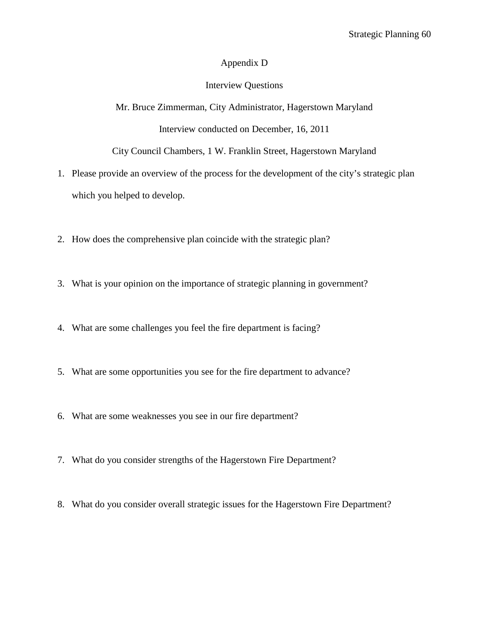### Appendix D

### Interview Questions

Mr. Bruce Zimmerman, City Administrator, Hagerstown Maryland Interview conducted on December, 16, 2011

City Council Chambers, 1 W. Franklin Street, Hagerstown Maryland

- 1. Please provide an overview of the process for the development of the city's strategic plan which you helped to develop.
- 2. How does the comprehensive plan coincide with the strategic plan?
- 3. What is your opinion on the importance of strategic planning in government?
- 4. What are some challenges you feel the fire department is facing?
- 5. What are some opportunities you see for the fire department to advance?
- 6. What are some weaknesses you see in our fire department?
- 7. What do you consider strengths of the Hagerstown Fire Department?
- 8. What do you consider overall strategic issues for the Hagerstown Fire Department?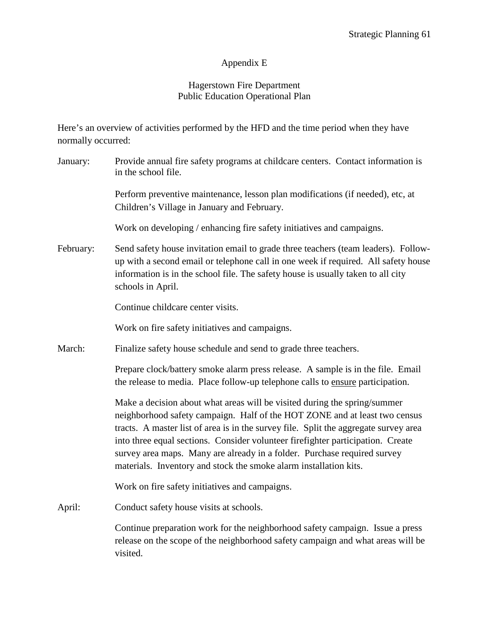### Appendix E

### Hagerstown Fire Department Public Education Operational Plan

Here's an overview of activities performed by the HFD and the time period when they have normally occurred:

January: Provide annual fire safety programs at childcare centers. Contact information is in the school file. Perform preventive maintenance, lesson plan modifications (if needed), etc, at Children's Village in January and February. Work on developing / enhancing fire safety initiatives and campaigns. February: Send safety house invitation email to grade three teachers (team leaders). Followup with a second email or telephone call in one week if required. All safety house information is in the school file. The safety house is usually taken to all city schools in April. Continue childcare center visits. Work on fire safety initiatives and campaigns. March: Finalize safety house schedule and send to grade three teachers. Prepare clock/battery smoke alarm press release. A sample is in the file. Email the release to media. Place follow-up telephone calls to ensure participation. Make a decision about what areas will be visited during the spring/summer neighborhood safety campaign. Half of the HOT ZONE and at least two census tracts. A master list of area is in the survey file. Split the aggregate survey area into three equal sections. Consider volunteer firefighter participation. Create survey area maps. Many are already in a folder. Purchase required survey materials. Inventory and stock the smoke alarm installation kits. Work on fire safety initiatives and campaigns. April: Conduct safety house visits at schools. Continue preparation work for the neighborhood safety campaign. Issue a press release on the scope of the neighborhood safety campaign and what areas will be

visited.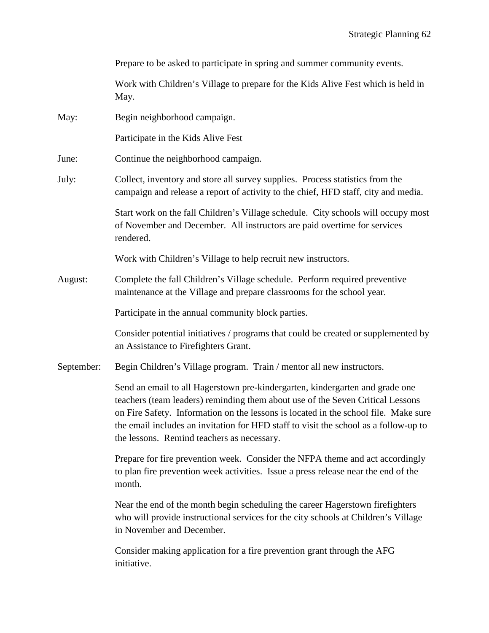|            | Prepare to be asked to participate in spring and summer community events.                                                                                                                                                                                                                                                                                                                   |  |
|------------|---------------------------------------------------------------------------------------------------------------------------------------------------------------------------------------------------------------------------------------------------------------------------------------------------------------------------------------------------------------------------------------------|--|
|            | Work with Children's Village to prepare for the Kids Alive Fest which is held in<br>May.                                                                                                                                                                                                                                                                                                    |  |
| May:       | Begin neighborhood campaign.                                                                                                                                                                                                                                                                                                                                                                |  |
|            | Participate in the Kids Alive Fest                                                                                                                                                                                                                                                                                                                                                          |  |
| June:      | Continue the neighborhood campaign.                                                                                                                                                                                                                                                                                                                                                         |  |
| July:      | Collect, inventory and store all survey supplies. Process statistics from the<br>campaign and release a report of activity to the chief, HFD staff, city and media.                                                                                                                                                                                                                         |  |
|            | Start work on the fall Children's Village schedule. City schools will occupy most<br>of November and December. All instructors are paid overtime for services<br>rendered.                                                                                                                                                                                                                  |  |
|            | Work with Children's Village to help recruit new instructors.                                                                                                                                                                                                                                                                                                                               |  |
| August:    | Complete the fall Children's Village schedule. Perform required preventive<br>maintenance at the Village and prepare classrooms for the school year.                                                                                                                                                                                                                                        |  |
|            | Participate in the annual community block parties.                                                                                                                                                                                                                                                                                                                                          |  |
|            | Consider potential initiatives / programs that could be created or supplemented by<br>an Assistance to Firefighters Grant.                                                                                                                                                                                                                                                                  |  |
| September: | Begin Children's Village program. Train / mentor all new instructors.                                                                                                                                                                                                                                                                                                                       |  |
|            | Send an email to all Hagerstown pre-kindergarten, kindergarten and grade one<br>teachers (team leaders) reminding them about use of the Seven Critical Lessons<br>on Fire Safety. Information on the lessons is located in the school file. Make sure<br>the email includes an invitation for HFD staff to visit the school as a follow-up to<br>the lessons. Remind teachers as necessary. |  |
|            | Prepare for fire prevention week. Consider the NFPA theme and act accordingly<br>to plan fire prevention week activities. Issue a press release near the end of the<br>month.                                                                                                                                                                                                               |  |
|            | Near the end of the month begin scheduling the career Hagerstown firefighters<br>who will provide instructional services for the city schools at Children's Village<br>in November and December.                                                                                                                                                                                            |  |
|            | Consider making application for a fire prevention grant through the AFG<br>initiative.                                                                                                                                                                                                                                                                                                      |  |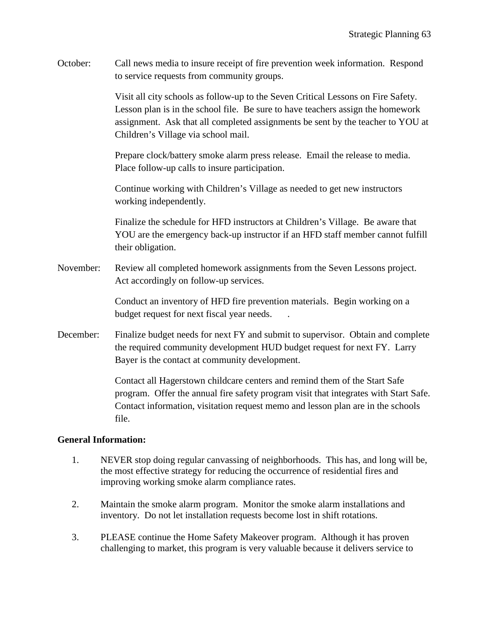October: Call news media to insure receipt of fire prevention week information. Respond to service requests from community groups.

> Visit all city schools as follow-up to the Seven Critical Lessons on Fire Safety. Lesson plan is in the school file. Be sure to have teachers assign the homework assignment. Ask that all completed assignments be sent by the teacher to YOU at Children's Village via school mail.

Prepare clock/battery smoke alarm press release. Email the release to media. Place follow-up calls to insure participation.

Continue working with Children's Village as needed to get new instructors working independently.

Finalize the schedule for HFD instructors at Children's Village. Be aware that YOU are the emergency back-up instructor if an HFD staff member cannot fulfill their obligation.

November: Review all completed homework assignments from the Seven Lessons project. Act accordingly on follow-up services.

> Conduct an inventory of HFD fire prevention materials. Begin working on a budget request for next fiscal year needs. .

December: Finalize budget needs for next FY and submit to supervisor. Obtain and complete the required community development HUD budget request for next FY. Larry Bayer is the contact at community development.

> Contact all Hagerstown childcare centers and remind them of the Start Safe program. Offer the annual fire safety program visit that integrates with Start Safe. Contact information, visitation request memo and lesson plan are in the schools file.

### **General Information:**

- 1. NEVER stop doing regular canvassing of neighborhoods. This has, and long will be, the most effective strategy for reducing the occurrence of residential fires and improving working smoke alarm compliance rates.
- 2. Maintain the smoke alarm program. Monitor the smoke alarm installations and inventory. Do not let installation requests become lost in shift rotations.
- 3. PLEASE continue the Home Safety Makeover program. Although it has proven challenging to market, this program is very valuable because it delivers service to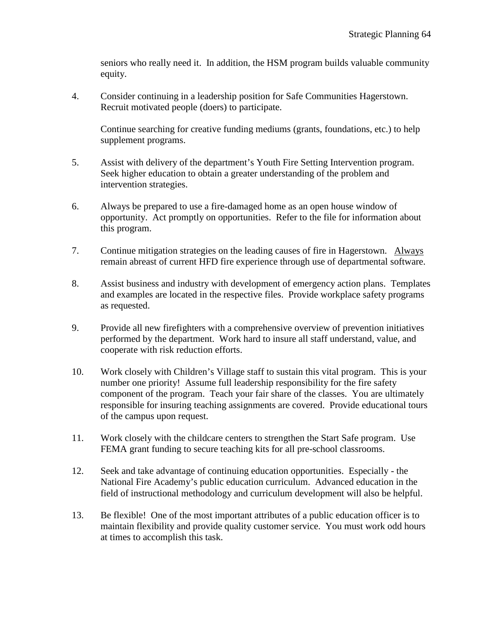seniors who really need it. In addition, the HSM program builds valuable community equity.

4. Consider continuing in a leadership position for Safe Communities Hagerstown. Recruit motivated people (doers) to participate.

Continue searching for creative funding mediums (grants, foundations, etc.) to help supplement programs.

- 5. Assist with delivery of the department's Youth Fire Setting Intervention program. Seek higher education to obtain a greater understanding of the problem and intervention strategies.
- 6. Always be prepared to use a fire-damaged home as an open house window of opportunity. Act promptly on opportunities. Refer to the file for information about this program.
- 7. Continue mitigation strategies on the leading causes of fire in Hagerstown. Always remain abreast of current HFD fire experience through use of departmental software.
- 8. Assist business and industry with development of emergency action plans. Templates and examples are located in the respective files. Provide workplace safety programs as requested.
- 9. Provide all new firefighters with a comprehensive overview of prevention initiatives performed by the department. Work hard to insure all staff understand, value, and cooperate with risk reduction efforts.
- 10. Work closely with Children's Village staff to sustain this vital program. This is your number one priority! Assume full leadership responsibility for the fire safety component of the program. Teach your fair share of the classes. You are ultimately responsible for insuring teaching assignments are covered. Provide educational tours of the campus upon request.
- 11. Work closely with the childcare centers to strengthen the Start Safe program. Use FEMA grant funding to secure teaching kits for all pre-school classrooms.
- 12. Seek and take advantage of continuing education opportunities. Especially the National Fire Academy's public education curriculum. Advanced education in the field of instructional methodology and curriculum development will also be helpful.
- 13. Be flexible! One of the most important attributes of a public education officer is to maintain flexibility and provide quality customer service. You must work odd hours at times to accomplish this task.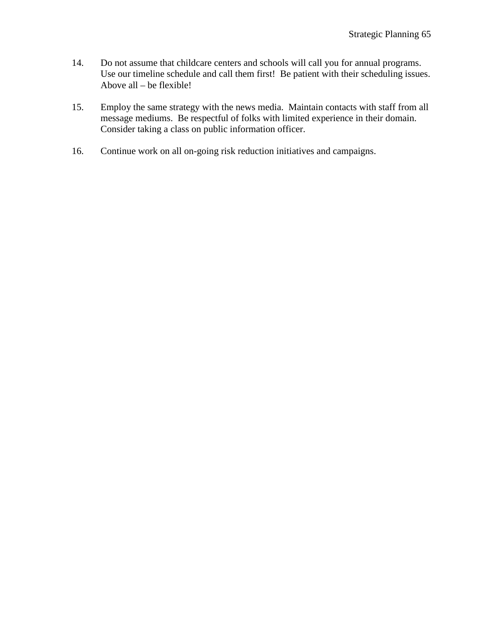- 14. Do not assume that childcare centers and schools will call you for annual programs. Use our timeline schedule and call them first! Be patient with their scheduling issues. Above all – be flexible!
- 15. Employ the same strategy with the news media. Maintain contacts with staff from all message mediums. Be respectful of folks with limited experience in their domain. Consider taking a class on public information officer.
- 16. Continue work on all on-going risk reduction initiatives and campaigns.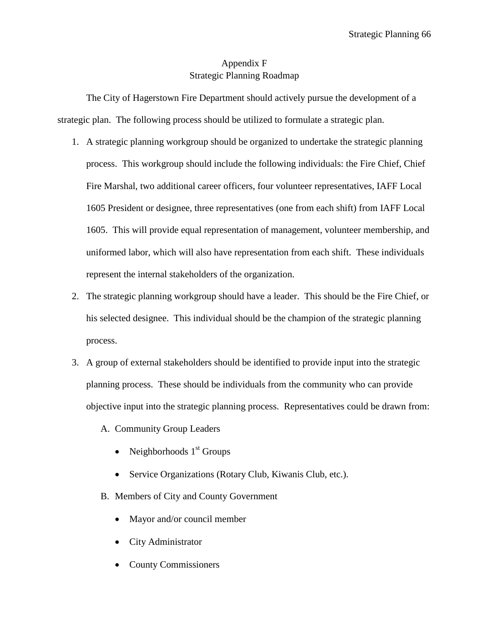# Appendix F Strategic Planning Roadmap

The City of Hagerstown Fire Department should actively pursue the development of a strategic plan. The following process should be utilized to formulate a strategic plan.

- 1. A strategic planning workgroup should be organized to undertake the strategic planning process. This workgroup should include the following individuals: the Fire Chief, Chief Fire Marshal, two additional career officers, four volunteer representatives, IAFF Local 1605 President or designee, three representatives (one from each shift) from IAFF Local 1605. This will provide equal representation of management, volunteer membership, and uniformed labor, which will also have representation from each shift. These individuals represent the internal stakeholders of the organization.
- 2. The strategic planning workgroup should have a leader. This should be the Fire Chief, or his selected designee. This individual should be the champion of the strategic planning process.
- 3. A group of external stakeholders should be identified to provide input into the strategic planning process. These should be individuals from the community who can provide objective input into the strategic planning process. Representatives could be drawn from:
	- A. Community Group Leaders
		- Neighborhoods  $1<sup>st</sup>$  Groups
		- Service Organizations (Rotary Club, Kiwanis Club, etc.).
	- B. Members of City and County Government
		- Mayor and/or council member
		- City Administrator
		- County Commissioners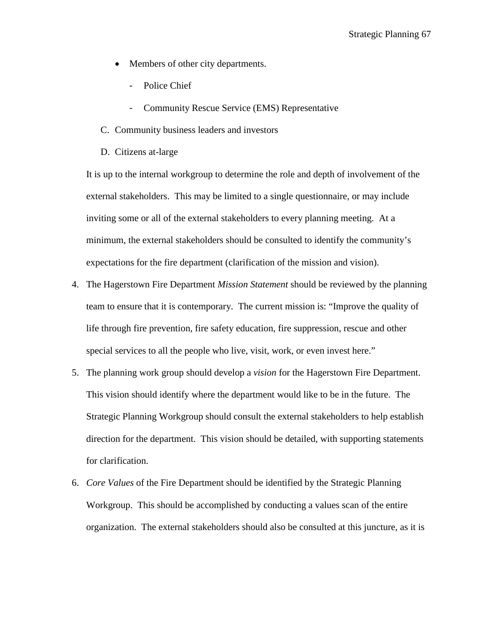- Members of other city departments.
	- Police Chief
	- Community Rescue Service (EMS) Representative
- C. Community business leaders and investors
- D. Citizens at-large

It is up to the internal workgroup to determine the role and depth of involvement of the external stakeholders. This may be limited to a single questionnaire, or may include inviting some or all of the external stakeholders to every planning meeting. At a minimum, the external stakeholders should be consulted to identify the community's expectations for the fire department (clarification of the mission and vision).

- 4. The Hagerstown Fire Department *Mission Statement* should be reviewed by the planning team to ensure that it is contemporary. The current mission is: "Improve the quality of life through fire prevention, fire safety education, fire suppression, rescue and other special services to all the people who live, visit, work, or even invest here."
- 5. The planning work group should develop a *vision* for the Hagerstown Fire Department. This vision should identify where the department would like to be in the future. The Strategic Planning Workgroup should consult the external stakeholders to help establish direction for the department. This vision should be detailed, with supporting statements for clarification.
- 6. *Core Values* of the Fire Department should be identified by the Strategic Planning Workgroup. This should be accomplished by conducting a values scan of the entire organization. The external stakeholders should also be consulted at this juncture, as it is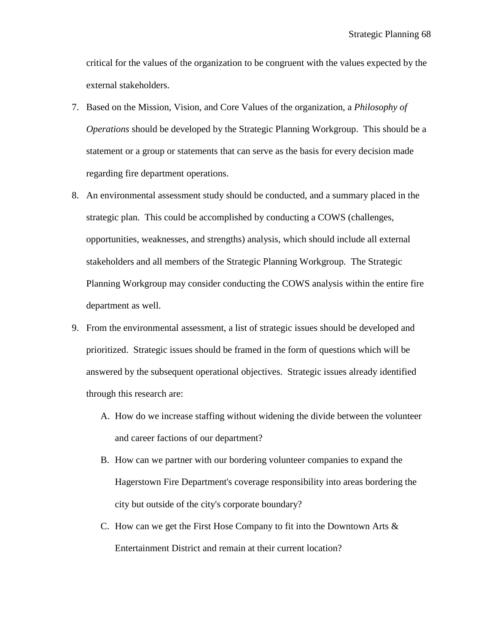critical for the values of the organization to be congruent with the values expected by the external stakeholders.

- 7. Based on the Mission, Vision, and Core Values of the organization, a *Philosophy of Operations* should be developed by the Strategic Planning Workgroup. This should be a statement or a group or statements that can serve as the basis for every decision made regarding fire department operations.
- 8. An environmental assessment study should be conducted, and a summary placed in the strategic plan. This could be accomplished by conducting a COWS (challenges, opportunities, weaknesses, and strengths) analysis, which should include all external stakeholders and all members of the Strategic Planning Workgroup. The Strategic Planning Workgroup may consider conducting the COWS analysis within the entire fire department as well.
- 9. From the environmental assessment, a list of strategic issues should be developed and prioritized. Strategic issues should be framed in the form of questions which will be answered by the subsequent operational objectives. Strategic issues already identified through this research are:
	- A. How do we increase staffing without widening the divide between the volunteer and career factions of our department?
	- B. How can we partner with our bordering volunteer companies to expand the Hagerstown Fire Department's coverage responsibility into areas bordering the city but outside of the city's corporate boundary?
	- C. How can we get the First Hose Company to fit into the Downtown Arts & Entertainment District and remain at their current location?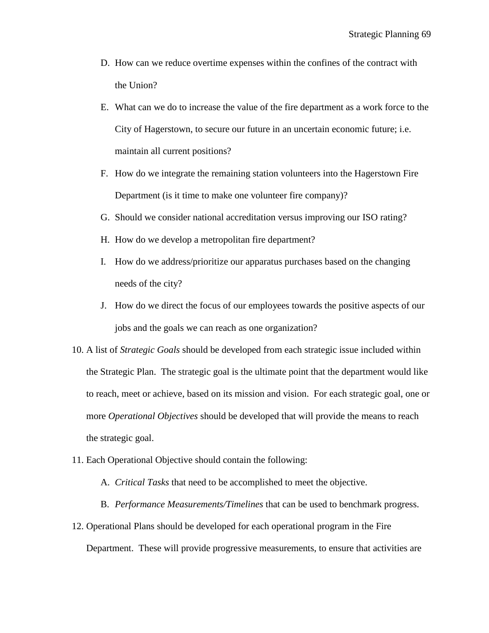- D. How can we reduce overtime expenses within the confines of the contract with the Union?
- E. What can we do to increase the value of the fire department as a work force to the City of Hagerstown, to secure our future in an uncertain economic future; i.e. maintain all current positions?
- F. How do we integrate the remaining station volunteers into the Hagerstown Fire Department (is it time to make one volunteer fire company)?
- G. Should we consider national accreditation versus improving our ISO rating?
- H. How do we develop a metropolitan fire department?
- I. How do we address/prioritize our apparatus purchases based on the changing needs of the city?
- J. How do we direct the focus of our employees towards the positive aspects of our jobs and the goals we can reach as one organization?
- 10. A list of *Strategic Goals* should be developed from each strategic issue included within the Strategic Plan. The strategic goal is the ultimate point that the department would like to reach, meet or achieve, based on its mission and vision. For each strategic goal, one or more *Operational Objectives* should be developed that will provide the means to reach the strategic goal.
- 11. Each Operational Objective should contain the following:
	- A. *Critical Tasks* that need to be accomplished to meet the objective.
	- B. *Performance Measurements/Timelines* that can be used to benchmark progress.
- 12. Operational Plans should be developed for each operational program in the Fire Department. These will provide progressive measurements, to ensure that activities are